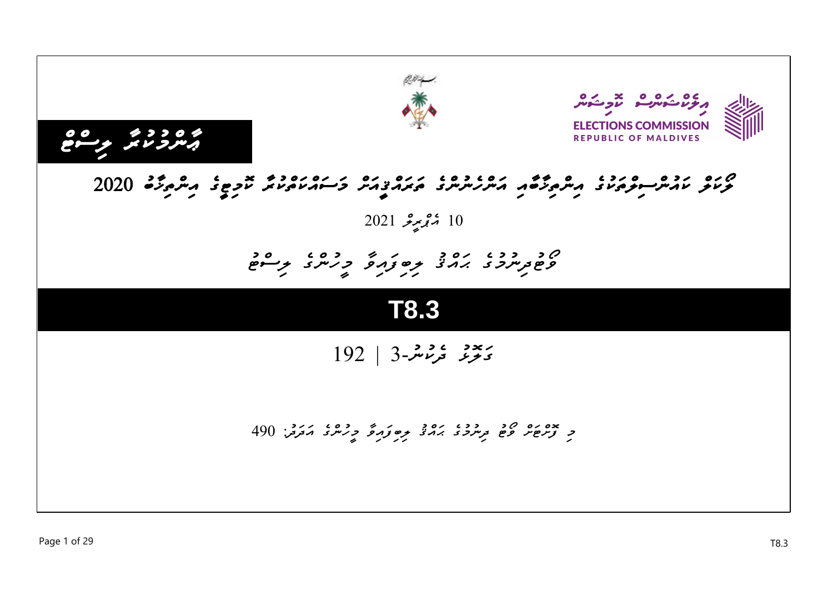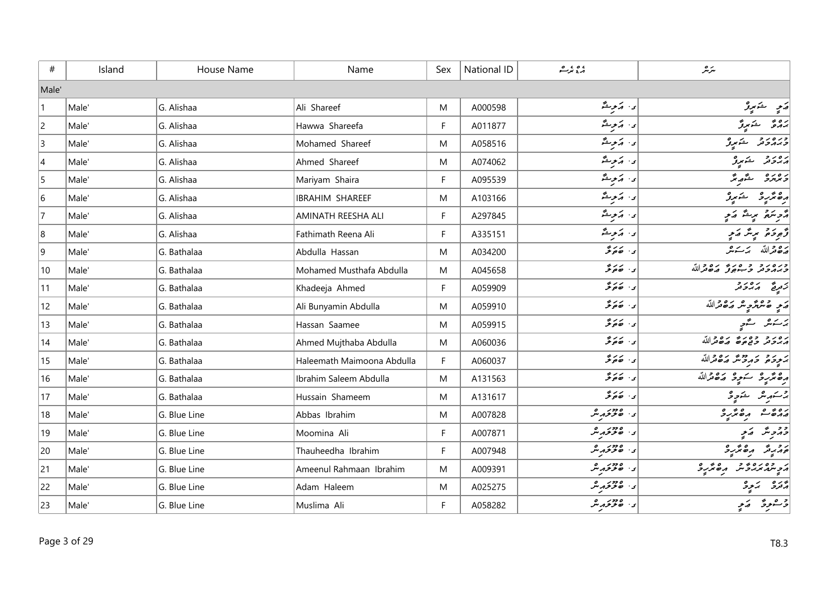| #              | Island | House Name   | Name                       | Sex       | National ID | ، ه ، بر <u>م</u> | ىئرىتر                        |
|----------------|--------|--------------|----------------------------|-----------|-------------|-------------------|-------------------------------|
| Male'          |        |              |                            |           |             |                   |                               |
| 1              | Male'  | G. Alishaa   | Ali Shareef                | M         | A000598     | ى - مەتوىنىگە     | أركمني المستمعرفر             |
| 2              | Male'  | G. Alishaa   | Hawwa Shareefa             | F         | A011877     | ى . ئەموشە        | رە ئەرۇ                       |
| $ 3\rangle$    | Male'  | G. Alishaa   | Mohamed Shareef            | M         | A058516     | ى - مەموشە        | ورەرو شەرو                    |
| $\vert 4$      | Male'  | G. Alishaa   | Ahmed Shareef              | M         | A074062     | ى . مەموشە        | رەرد شىرو                     |
| $\overline{5}$ | Male'  | G. Alishaa   | Mariyam Shaira             | F         | A095539     | ى - مەموشە        | و ده ده شور شور شور ش         |
| $\overline{6}$ | Male'  | G. Alishaa   | IBRAHIM SHAREEF            | M         | A103166     | ى بە كەنتىگە      | رە ئۆر ئىسىر                  |
| $\vert$ 7      | Male'  | G. Alishaa   | AMINATH REESHA ALI         | F         | A297845     | ى . ئەتوشە        |                               |
| 8              | Male'  | G. Alishaa   | Fathimath Reena Ali        | F         | A335151     | ى . ئەتوىتە       | توجوجي بريتر وكمي             |
| 9              | Male'  | G. Bathalaa  | Abdulla Hassan             | ${\sf M}$ | A034200     | ى ئەتمۇ           | مَدْهُ قَدْاللّه بَرْسَة مِدْ |
| 10             | Male'  | G. Bathalaa  | Mohamed Musthafa Abdulla   | M         | A045658     | ى ئەتمۇ           | وره رو و ه رو ره دالله        |
| 11             | Male'  | G. Bathalaa  | Khadeeja Ahmed             | F.        | A059909     | ى ئەتمۇ           | تزەرق كەشرىر                  |
| 12             | Male'  | G. Bathalaa  | Ali Bunyamin Abdulla       | M         | A059910     | ى ئەتمۇقى         | مو صمرته مصرفاته              |
| 13             | Male'  | G. Bathalaa  | Hassan Saamee              | M         | A059915     | ى ئەتمۇ           | پرستمبر    سنگامیِ            |
| 14             | Male'  | G. Bathalaa  | Ahmed Mujthaba Abdulla     | M         | A060036     | ى ئەتمۇ           | ره رو وه رو ره والله          |
| 15             | Male'  | G. Bathalaa  | Haleemath Maimoona Abdulla | F.        | A060037     | ى ئەتمۇ           | بريرة وردوشر وعدالله          |
| 16             | Male'  | G. Bathalaa  | Ibrahim Saleem Abdulla     | M         | A131563     | ى ئەتمۇ           | رە ئرىر ئىسىر ئەھىراللە       |
| 17             | Male'  | G. Bathalaa  | Hussain Shameem            | M         | A131617     | ى ئەتمۇ           | ج سەر شەھ بەر ئەر             |
| 18             | Male'  | G. Blue Line | Abbas Ibrahim              | M         | A007828     | - موجود ش         | 5,50, 050,                    |
| 19             | Male'  | G. Blue Line | Moomina Ali                | F.        | A007871     | - موجود ش         | دو پر ړیږ                     |
| 20             | Male'  | G. Blue Line | Thauheedha Ibrahim         | F.        | A007948     | - موجود ش         | בגוע גם ביב                   |
| 21             | Male'  | G. Blue Line | Ameenul Rahmaan Ibrahim    | M         | A009391     | ى ھۆكەر ش         | ג כסגס בי הסיביב              |
| 22             | Male'  | G. Blue Line | Adam Haleem                | M         | A025275     | ى ھۆتەر ش         | أردره برود                    |
| 23             | Male'  | G. Blue Line | Muslima Ali                | F.        | A058282     | ى ھۆۋە ش          | وصورة الأمي                   |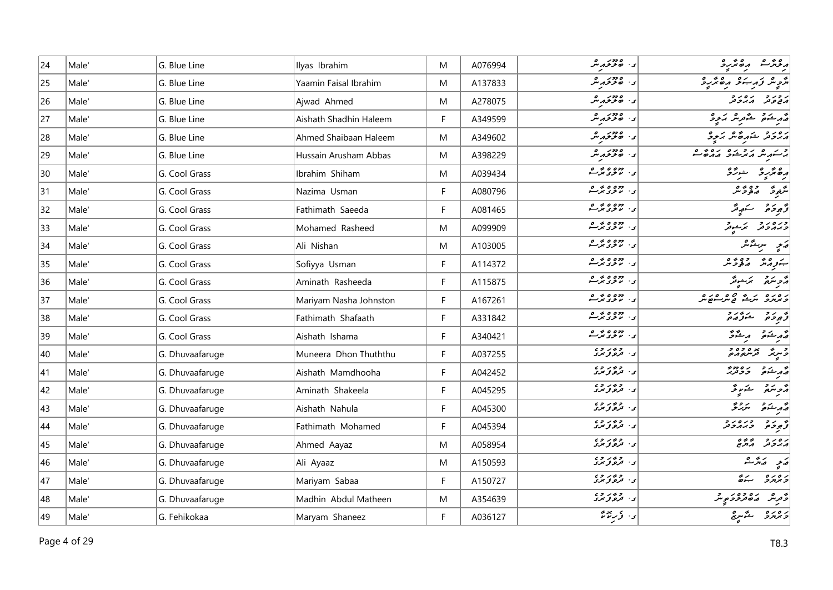| 24 | Male' | G. Blue Line    | Ilyas Ibrahim          | M           | A076994 | ى ھۆتەر ش                            | أروش رەئزىر                                                                                          |
|----|-------|-----------------|------------------------|-------------|---------|--------------------------------------|------------------------------------------------------------------------------------------------------|
| 25 | Male' | G. Blue Line    | Yaamin Faisal Ibrahim  | M           | A137833 | ی صوفرمی                             | أثرج تكر وكرسوفه وكالمرجو                                                                            |
| 26 | Male' | G. Blue Line    | Ajwad Ahmed            | M           | A278075 | ى ھۆۋەبىر                            | ر ور و ده رو<br> مقانو مدرو                                                                          |
| 27 | Male' | G. Blue Line    | Aishath Shadhin Haleem | F           | A349599 | ى ھۆمەر ھ                            | ە ئەستەم سەرسى ئەرە                                                                                  |
| 28 | Male' | G. Blue Line    | Ahmed Shaibaan Haleem  | M           | A349602 | ى ھۆخەر ش                            | رورد خرقه الكرو                                                                                      |
| 29 | Male' | G. Blue Line    | Hussain Arusham Abbas  | M           | A398229 | ی ۔ صوبور ش                          |                                                                                                      |
| 30 | Male' | G. Cool Grass   | Ibrahim Shiham         | M           | A039434 | ى بىرە ە بۇر ھ                       | أرە ئۆر ئەر ئە                                                                                       |
| 31 | Male' | G. Cool Grass   | Nazima Usman           | F           | A080796 | د ۱۵۵۶ می می<br>د ۱ مانورنگر         | شَعِرَة صَفَرَة شَر                                                                                  |
| 32 | Male' | G. Cool Grass   | Fathimath Saeeda       | F           | A081465 | د ۱۵۵۰ ور ه<br>د ۱ <b>۷ و</b> ر مرگ  | قرجوحر كتمير                                                                                         |
| 33 | Male' | G. Cool Grass   | Mohamed Rasheed        | M           | A099909 | ى بىرە ە بۇر ھ                       | ورەرو كەنبەتر                                                                                        |
| 34 | Male' | G. Cool Grass   | Ali Nishan             | M           | A103005 | د ۱۵۵۶ ورمړ ه<br>د ۱ مرمړ مرگ        | ړې سرچينې<br><u>په پ</u>                                                                             |
| 35 | Male' | G. Cool Grass   | Sofiyya Usman          | F           | A114372 | د ۱۵۵۶ ورمړ ه<br>د ۱ مرمړ مرگ        |                                                                                                      |
| 36 | Male' | G. Cool Grass   | Aminath Rasheeda       | F           | A115875 | د . «وه و پر م                       | أأدح مكرهم المتكرومن                                                                                 |
| 37 | Male' | G. Cool Grass   | Mariyam Nasha Johnston | $\mathsf F$ | A167261 | د وه ه ه و م                         | رەرە برگە ئەرقىق                                                                                     |
| 38 | Male' | G. Cool Grass   | Fathimath Shafaath     | F           | A331842 | د ۱۵۵۶ ورمړ ه<br>د ۱ مرمړ مرگ        | و رو شورو<br>ا <b>ز</b> ج حوض                                                                        |
| 39 | Male' | G. Cool Grass   | Aishath Ishama         | F           | A340421 | د . «وه و و ه<br>د . ما مرد مگر ک    | أمار مشكما والمشكرة                                                                                  |
| 40 | Male' | G. Dhuvaafaruge | Muneera Dhon Thuththu  | F           | A037255 | و به روه<br>د ۰ تر <i>وگ</i> برد     | د سر پر مده وه و                                                                                     |
| 41 | Male' | G. Dhuvaafaruge | Aishath Mamdhooha      | F           | A042452 | و به روه<br>د ۰ تروگو برو            | و دره ده ده.<br>درگاه در درگا                                                                        |
| 42 | Male' | G. Dhuvaafaruge | Aminath Shakeela       | F           | A045295 | و د د د د د<br>د ۰ تروگو برد         | لتمحر يئرة<br>شەر ئۇ                                                                                 |
| 43 | Male' | G. Dhuvaafaruge | Aishath Nahula         | $\mathsf F$ | A045300 | و په دره ده<br>د ۱ تروگو <i>بر</i> و | ە ئەستىمى سىرتىگە                                                                                    |
| 44 | Male' | G. Dhuvaafaruge | Fathimath Mohamed      | F           | A045394 | و د د د د د<br>د ۰ تروگو برد         | و دو وره دو                                                                                          |
| 45 | Male' | G. Dhuvaafaruge | Ahmed Aayaz            | ${\sf M}$   | A058954 | و د د د د د<br>د ۰ مروکو برد         | ره رو و وه                                                                                           |
| 46 | Male' | G. Dhuvaafaruge | Ali Ayaaz              | ${\sf M}$   | A150593 | و د د د د د<br>د ۰ تروگو برد         | أوسمية ويرششون                                                                                       |
| 47 | Male' | G. Dhuvaafaruge | Mariyam Sabaa          | F           | A150727 | و په دوه<br>د ۰ مر <i>وگ</i> مرد     | ر ه ر ه<br><del>ر</del> بربرو<br>سەنھ                                                                |
| 48 | Male' | G. Dhuvaafaruge | Madhin Abdul Matheen   | M           | A354639 | و په روه<br>ی۰ تروگو <i>پر</i> ی     | أو مع معصور و مع المحمد المحمد المحمد المحمد المحمد المحمد المحمد المحمد المحمد المحمد المحمد المحمد |
| 49 | Male' | G. Fehikokaa    | Maryam Shaneez         | F           | A036127 | ى ئۇرىتق                             | رەرە شەرچ                                                                                            |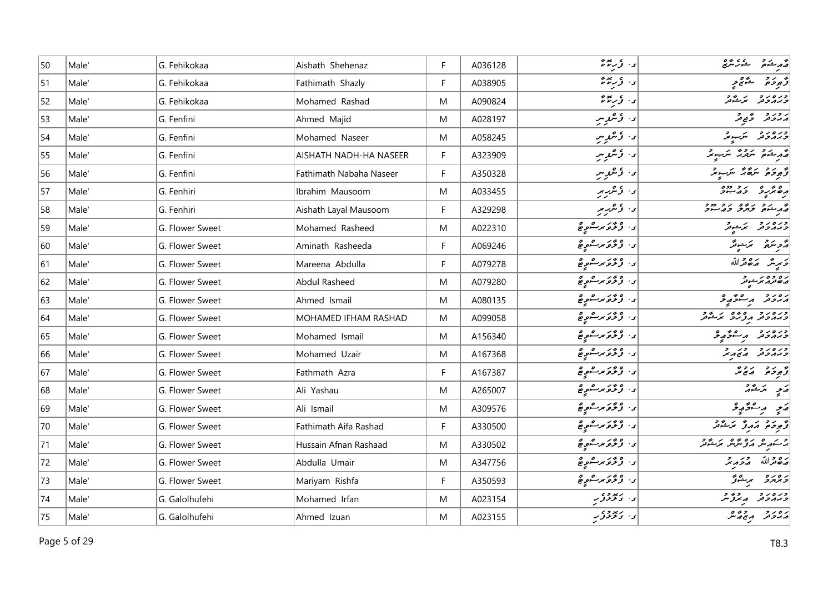| 50 | Male' | G. Fehikokaa    | Aishath Shehenaz        | F         | A036128 | ، ئۇرىيى <i>م</i>                       |                                       |
|----|-------|-----------------|-------------------------|-----------|---------|-----------------------------------------|---------------------------------------|
| 51 | Male' | G. Fehikokaa    | Fathimath Shazly        | F         | A038905 | ، ئۇرىيى <i>م</i>                       | أؤجر فرقم فيشمخ                       |
| 52 | Male' | G. Fehikokaa    | Mohamed Rashad          | M         | A090824 | ، ئۇرىيى <i>م</i>                       | ورەر دىر ئەر<br><i>جەم</i> ەر ئىمىشەر |
| 53 | Male' | G. Fenfini      | Ahmed Majid             | M         | A028197 | <sub>ئ</sub> ئۇشمەيىر                   | ر ور و گهر و                          |
| 54 | Male' | G. Fenfini      | Mohamed Naseer          | M         | A058245 | ى كۆشمۈس                                | ورەرو شبىر                            |
| 55 | Male' | G. Fenfini      | AISHATH NADH-HA NASEER  | F         | A323909 | <mark>ء- ۇشم</mark> وس                  | ە ئەسكە ئەرەبىر ئىرسوم                |
| 56 | Male' | G. Fenfini      | Fathimath Nabaha Naseer | F         | A350328 | <mark>ء<sub>َ</sub>، و</mark> َسْمَوِسِ | توجدة اللقائة الترسولى                |
| 57 | Male' | G. Fenhiri      | Ibrahim Mausoom         | ${\sf M}$ | A033455 | ء و عند بير                             |                                       |
| 58 | Male' | G. Fenhiri      | Aishath Layal Mausoom   | F         | A329298 | ا <sup>ی و</sup> قریظ پر سر             | أحمد شده و در دو دود                  |
| 59 | Male' | G. Flower Sweet | Mohamed Rasheed         | M         | A022310 | ى بۇ ئۇ ئۇ ئىرىسى ئەھ                   | وره رو ترجعتی                         |
| 60 | Male' | G. Flower Sweet | Aminath Rasheeda        | F         | A069246 | ء و و د ر عوي                           | أأرقبه ترشونكر                        |
| 61 | Male' | G. Flower Sweet | Mareena Abdulla         | F         | A079278 | ء و و و ر مر موقع                       | كرسيستر كدهقرالله                     |
| 62 | Male' | G. Flower Sweet | Abdul Rasheed           | M         | A079280 | ى بۇ ئۇ قەبىر شەم بى                    | ر ه ۶ و رکندور<br>در هو در سرشونر     |
| 63 | Male' | G. Flower Sweet | Ahmed Ismail            | M         | A080135 | ى بۇ ئۇ ئۇ ئەرب ھاي ھ                   | رەرو بەسىۋە ي                         |
| 64 | Male' | G. Flower Sweet | MOHAMED IFHAM RASHAD    | M         | A099058 | $ z_j ^2$ و ژوکر مرگور ج                | ورەر دە دەپ كەللەد                    |
| 65 | Male' | G. Flower Sweet | Mohamed Ismail          | M         | A156340 | ء و و څرو برر عو ه                      | ورەرو برخۇرۇ                          |
| 66 | Male' | G. Flower Sweet | Mohamed Uzair           | M         | A167368 | ى بۇ ئۇ ئۇسرىمبرىقى                     | כממכנג כל ב                           |
| 67 | Male' | G. Flower Sweet | Fathmath Azra           | F         | A167387 | ، ئۇ ئۇ ئەسرە <sub>م</sub> ھ            | توجدة ويديد                           |
| 68 | Male' | G. Flower Sweet | Ali Yashau              | M         | A265007 | ، ژگر <i>ۇ بر</i> ىشم <sub>ۇ</sub> غ    | پر په پرځم                            |
| 69 | Male' | G. Flower Sweet | Ali Ismail              | M         | A309576 | ى بۇ ئۇ قەسر مەمرە                      | ړې ره دي د                            |
| 70 | Male' | G. Flower Sweet | Fathimath Aifa Rashad   | F         | A330500 | ى بۇ ئۇ قەسر شەمرىقى                    | ر<br><i>دُودَهُ مَهردٌ عَ</i> حَقَّ   |
| 71 | Male' | G. Flower Sweet | Hussain Afnan Rashaad   | M         | A330502 | ، ئۇ ئۇ ئۆس <sup>م</sup> وپى            | ج سکر سی میں میں مرکب دی جات          |
| 72 | Male' | G. Flower Sweet | Abdulla Umair           | M         | A347756 | ، ژگر <i>ۇ بر</i> ىشم <sub>ۇ</sub> غ    | أصفعدالله المحاديمه                   |
| 73 | Male' | G. Flower Sweet | Mariyam Rishfa          | F         | A350593 | ى بۇ ئۇ قەسرىسى ي                       | رەرە برىشۇ                            |
| 74 | Male' | G. Galolhufehi  | Mohamed Irfan           | M         | A023154 | ر ريووي<br>د کوروکو                     | כנסגב הבניב<br>כממכת היתצית           |
| 75 | Male' | G. Galolhufehi  | Ahmed Izuan             | ${\sf M}$ | A023155 | ى كەنتۈرى بە                            | גפנים במת                             |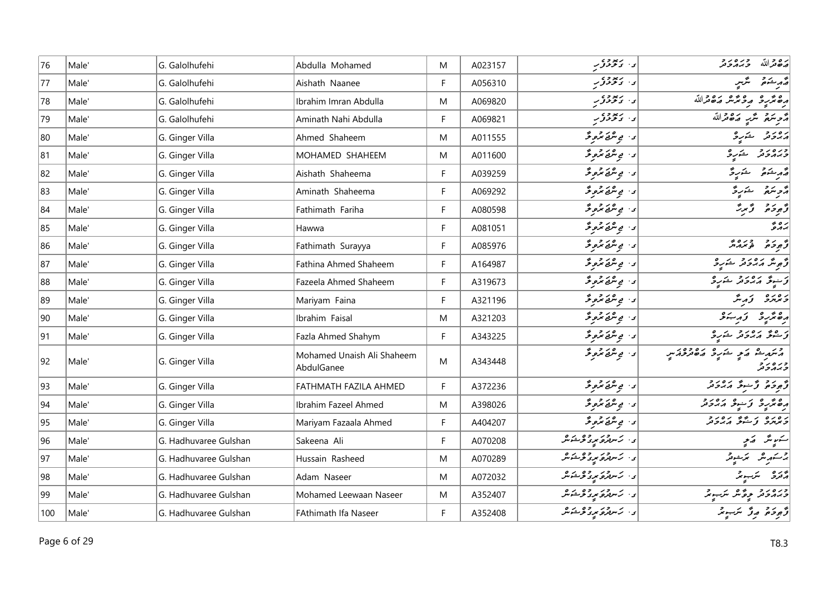| 76  | Male' | G. Galolhufehi        | Abdulla Mohamed                          | M           | A023157 | ، ئەنزىقى ئەسىر                                                                                                                                                                                                                                                                                                                                                                                                             | <mark>برە ت</mark> راللە<br>و ره ر د<br><i>د ب</i> رگرمر                                                         |
|-----|-------|-----------------------|------------------------------------------|-------------|---------|-----------------------------------------------------------------------------------------------------------------------------------------------------------------------------------------------------------------------------------------------------------------------------------------------------------------------------------------------------------------------------------------------------------------------------|------------------------------------------------------------------------------------------------------------------|
| 77  | Male' | G. Galolhufehi        | Aishath Naanee                           | F           | A056310 | <sub>ى ك</sub> ېۋوتې                                                                                                                                                                                                                                                                                                                                                                                                        | قەرشەق ئىرس                                                                                                      |
| 78  | Male' | G. Galolhufehi        | Ibrahim Imran Abdulla                    | M           | A069820 | ء کی محمودی                                                                                                                                                                                                                                                                                                                                                                                                                 | مصرية محمد محمد محمد الله                                                                                        |
| 79  | Male' | G. Galolhufehi        | Aminath Nahi Abdulla                     | F           | A069821 | ء کی تروی ر                                                                                                                                                                                                                                                                                                                                                                                                                 | أمحر يتمع تتريبه وكافقالله                                                                                       |
| 80  | Male' | G. Ginger Villa       | Ahmed Shaheem                            | M           | A011555 | ء وعرة تروتر                                                                                                                                                                                                                                                                                                                                                                                                                | دەر د ئەرو                                                                                                       |
| 81  | Male' | G. Ginger Villa       | MOHAMED SHAHEEM                          | M           | A011600 | ا <sup>ی م</sup> وشھ تروڅه                                                                                                                                                                                                                                                                                                                                                                                                  | ورەرو شەرۇ                                                                                                       |
| 82  | Male' | G. Ginger Villa       | Aishath Shaheema                         | $\mathsf F$ | A039259 | ى بى ئىرنى ئىرە ئىچ                                                                                                                                                                                                                                                                                                                                                                                                         | ۇرشۇ شىرۇ                                                                                                        |
| 83  | Male' | G. Ginger Villa       | Aminath Shaheema                         | F           | A069292 | ى بى ئىرنى ئىرە ئىچ                                                                                                                                                                                                                                                                                                                                                                                                         | أأولتم فأراد                                                                                                     |
| 84  | Male' | G. Ginger Villa       | Fathimath Fariha                         | F           | A080598 | ى بى ھەتكە ترەپ                                                                                                                                                                                                                                                                                                                                                                                                             | و مر د<br>تر مور م<br>تخ بورٌ                                                                                    |
| 85  | Male' | G. Ginger Villa       | Hawwa                                    | F           | A081051 | ء <sub>`</sub> مح ملھَ مُرُحرِ مَحْ                                                                                                                                                                                                                                                                                                                                                                                         | برە پە                                                                                                           |
| 86  | Male' | G. Ginger Villa       | Fathimath Surayya                        | $\mathsf F$ | A085976 | ء <sub>`</sub> مح ملھَ مُرُحرِ مَحْ                                                                                                                                                                                                                                                                                                                                                                                         | و دره وره ور                                                                                                     |
| 87  | Male' | G. Ginger Villa       | Fathina Ahmed Shaheem                    | F           | A164987 | ی- مح مرتج مرتجر محرّ                                                                                                                                                                                                                                                                                                                                                                                                       | تحج محمد كالمردم المستمر والمحمد والمحمد والمحمد والمحمد والمحمد والمحمد والمحمد والمحمد والمحمد والمحمد والمحمد |
| 88  | Male' | G. Ginger Villa       | Fazeela Ahmed Shaheem                    | F           | A319673 | د· مح مثلجة مُرْحر مُحْ                                                                                                                                                                                                                                                                                                                                                                                                     | أَوَسَوَدُ أَيَادُونَ حَدَرٍ وَ                                                                                  |
| 89  | Male' | G. Ginger Villa       | Mariyam Faina                            | F           | A321196 | ء سمع مع مقرم محر                                                                                                                                                                                                                                                                                                                                                                                                           | دەرە زېرىگە                                                                                                      |
| 90  | Male' | G. Ginger Villa       | Ibrahim Faisal                           | M           | A321203 | ء په عرضهٔ مرّمر مَّ                                                                                                                                                                                                                                                                                                                                                                                                        | رە ئەر ئەربىد                                                                                                    |
| 91  | Male' | G. Ginger Villa       | Fazla Ahmed Shahym                       | F           | A343225 | ء ، مِرشَحَ مَرْمِرمَّ                                                                                                                                                                                                                                                                                                                                                                                                      | تى ئىنجە رەردىن ئىشرىدى                                                                                          |
| 92  | Male' | G. Ginger Villa       | Mohamed Unaish Ali Shaheem<br>AbdulGanee | M           | A343448 | د· م <sub>و</sub> شھَ مُرُوتَرُ                                                                                                                                                                                                                                                                                                                                                                                             | د سرم شو مرکب در مرکب در مرکب در سر<br>در در کرد<br>در در در                                                     |
| 93  | Male' | G. Ginger Villa       | FATHMATH FAZILA AHMED                    | $\mathsf F$ | A372236 | ء په عرضهٔ مرّمر مَّ                                                                                                                                                                                                                                                                                                                                                                                                        | ۇۋە قۇرۇ ئەرگەردە<br>كەنتىسىسى                                                                                   |
| 94  | Male' | G. Ginger Villa       | Ibrahim Fazeel Ahmed                     | M           | A398026 | ء سمع مع مقرم محمد هر محمد                                                                                                                                                                                                                                                                                                                                                                                                  | مەھەر ئەن ئەن ئەرەر د                                                                                            |
| 95  | Male' | G. Ginger Villa       | Mariyam Fazaala Ahmed                    | F           | A404207 | ء َ مِي عَرْجَ مَرْحَوِمَّةَ                                                                                                                                                                                                                                                                                                                                                                                                | رەرە بەي رەرد                                                                                                    |
| 96  | Male' | G. Hadhuvaree Gulshan | Sakeena Ali                              | F           | A070208 | ى . ئەسەۋە ئېرى ۋىشەش                                                                                                                                                                                                                                                                                                                                                                                                       | سىرىد كەمىي                                                                                                      |
| 97  | Male' | G. Hadhuvaree Gulshan | Hussain Rasheed                          | M           | A070289 | ، ئەس <i>لاھ بېرى</i> مۇشكىر                                                                                                                                                                                                                                                                                                                                                                                                | 2سكىرىش ئىكسىتىگە                                                                                                |
| 98  | Male' | G. Hadhuvaree Gulshan | Adam Naseer                              | M           | A072032 | ، ئەس <i>لاھ بېرى</i> مۇشكەش                                                                                                                                                                                                                                                                                                                                                                                                | أرمزه الكرسوم                                                                                                    |
| 99  | Male' | G. Hadhuvaree Gulshan | Mohamed Leewaan Naseer                   | M           | A352407 | $\left  \begin{array}{ccc} \text{R} & \text{R} & \text{R} \ & \text{R} & \text{R} \ \text{R} & \text{R} & \text{R} \ \text{R} & \text{R} & \text{R} \ \text{R} & \text{R} & \text{R} \ \text{R} & \text{R} & \text{R} \ \text{R} & \text{R} & \text{R} \ \text{R} & \text{R} & \text{R} \ \text{R} & \text{R} & \text{R} \ \text{R} & \text{R} & \text{R} & \text{R} \ \text{R} & \text{R} & \text{R} & \text{R} \ \text{R$ | ورەرو پەرەپرىد                                                                                                   |
| 100 | Male' | G. Hadhuvaree Gulshan | FAthimath Ifa Naseer                     | F           | A352408 | <sub>ى س</sub> ەر <i>مەيدى ئۆستەنگ</i> ە                                                                                                                                                                                                                                                                                                                                                                                    | قهوخه وقريحه                                                                                                     |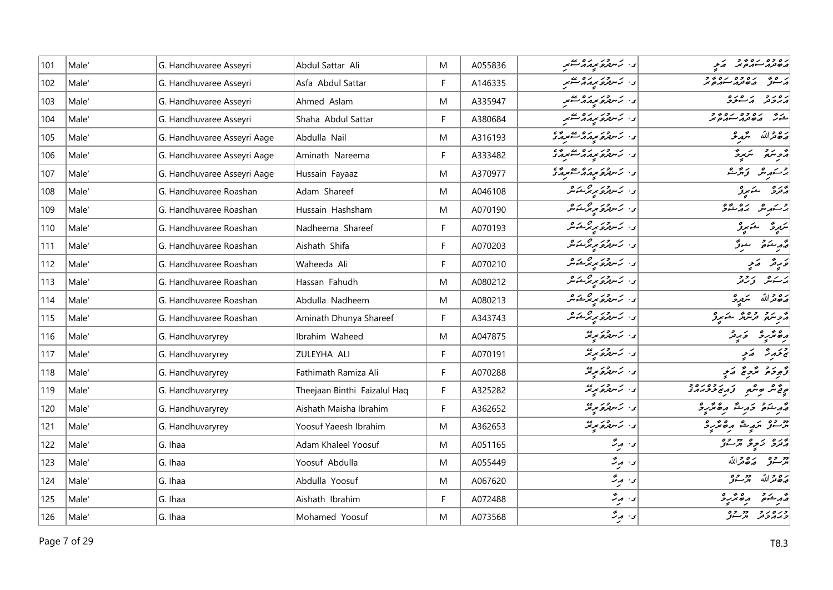| 101 | Male' | G. Handhuvaree Asseyri      | Abdul Sattar Ali             | M           | A055836 | ى سىسترە ئېرىدە سىم             | גם כם גם זיכן הב                            |
|-----|-------|-----------------------------|------------------------------|-------------|---------|---------------------------------|---------------------------------------------|
| 102 | Male' | G. Handhuvaree Asseyri      | Asfa Abdul Sattar            | F           | A146335 | ى سىستۇتۇ ئېرىدە سىمب           | ره وه ره د و<br>پره تربر سوړه پر<br>ىر مەيۇ |
| 103 | Male' | G. Handhuvaree Asseyri      | Ahmed Aslam                  | M           | A335947 | ى سىستۇتۇ ئېرىدە سىمبر          | رەرد پەرەرە                                 |
| 104 | Male' | G. Handhuvaree Asseyri      | Shaha Abdul Sattar           | F           | A380684 | ى سىر ئىرى بىر مىسىر            | در ده ده ده دود<br>شرگ مان در سهره بر       |
| 105 | Male' | G. Handhuvaree Asseyri Aage | Abdulla Nail                 | M           | A316193 | ى سىسترى مەدەبىيە بىرى<br>ئ     | صصرالله<br>سَمَد څر                         |
| 106 | Male' | G. Handhuvaree Asseyri Aage | Aminath Nareema              | F           | A333482 | ى سىسترە ئېرە كە ھەرى           | ړې سرچ<br>سرىبرۇ                            |
| 107 | Male' | G. Handhuvaree Asseyri Aage | Hussain Fayaaz               | M           | A370977 | ى سىسترى ئېرەكرە شەھرە ئ        | برسكهر تر تركر شا                           |
| 108 | Male' | G. Handhuvaree Roashan      | Adam Shareef                 | M           | A046108 | ى كەس كەرگەشكەش                 | د ده شورو                                   |
| 109 | Male' | G. Handhuvaree Roashan      | Hussain Hashsham             | M           | A070190 | ى سىس تەركىم تەركىكىشى بىر      | ج ڪمرس پره ده و                             |
| 110 | Male' | G. Handhuvaree Roashan      | Nadheema Shareef             | $\mathsf F$ | A070193 | ى ئەس كەرگە ئەركىيە             | سَرَمْرِدَّ شَدَيْرِرْ                      |
| 111 | Male' | G. Handhuvaree Roashan      | Aishath Shifa                | F           | A070203 | ى سىس ئىرىگى ئىشكەنلەر          | و.<br>د کرمشوځو<br>شدوگر                    |
| 112 | Male' | G. Handhuvaree Roashan      | Waheeda Ali                  | F           | A070210 | ى سىس ئىرىگى ئىچى ئىچى ئىچى ئىز | ءَبيةً - مَعٍ                               |
| 113 | Male' | G. Handhuvaree Roashan      | Hassan Fahudh                | M           | A080212 | ى سىس تىرى ئېرىكى شەكل          | يزستانتر الارو                              |
| 114 | Male' | G. Handhuvaree Roashan      | Abdulla Nadheem              | M           | A080213 | ى ئەسەۋە ئېرىگەشكەش             | رە ئەللە سەردۇ                              |
| 115 | Male' | G. Handhuvaree Roashan      | Aminath Dhunya Shareef       | F           | A343743 | ى سىس تىرى ئېرىكى ئىكى ئىكى     | أأوسم ورماس المستمرو                        |
| 116 | Male' | G. Handhuvaryrey            | Ibrahim Waheed               | M           | A047875 | ى سىستىمى ئىرىگە                | مەھترىرى ئەبەتر                             |
| 117 | Male' | G. Handhuvaryrey            | ZULEYHA ALI                  | F           | A070191 | ى سىسىتىمىتىگە                  | چ ئۇ م <sup>ەش</sup> ر                      |
| 118 | Male' | G. Handhuvaryrey            | Fathimath Ramiza Ali         | F           | A070288 | .<br> ئ- ئەسەرەكەسپەتلە         | ژُودَهُ نُرْدِعُ مَرِ                       |
| 119 | Male' | G. Handhuvaryrey            | Theejaan Binthi Faizalul Hag | F           | A325282 | ى سىسترەكىرىگە                  | وقيمر وملمج وربح فرقدون                     |
| 120 | Male' | G. Handhuvaryrey            | Aishath Maisha Ibrahim       | F           | A362652 | ى سىسترە ئېرىتى                 | ړٌم شو د د شه مره تر د                      |
| 121 | Male' | G. Handhuvaryrey            | Yoosuf Yaeesh Ibrahim        | M           | A362653 | ى سىستىمى ئىرىگە                | יי כפי תגיב תפית כ                          |
| 122 | Male' | G. Ihaa                     | Adam Khaleel Yoosuf          | M           | A051165 | ى . مەڭ                         | ړو زېږو پر دو                               |
| 123 | Male' | G. Ihaa                     | Yoosuf Abdulla               | M           | A055449 | ى مەنتى                         | صقعرالله<br>دز حمو                          |
| 124 | Male' | G. Ihaa                     | Abdulla Yoosuf               | M           | A067620 | ى دەپ                           | برە تراللە<br>در وه<br>در سور               |
| 125 | Male' | G. Ihaa                     | Aishath Ibrahim              | F           | A072488 | ى بەرچ                          | ر<br>در کرد شوځ<br>ەھ تررۈ                  |
| 126 | Male' | G. Ihaa                     | Mohamed Yoosuf               | M           | A073568 | ى . مەڭ                         | כנסני מיפס<br>בג'אבט, "אני-                 |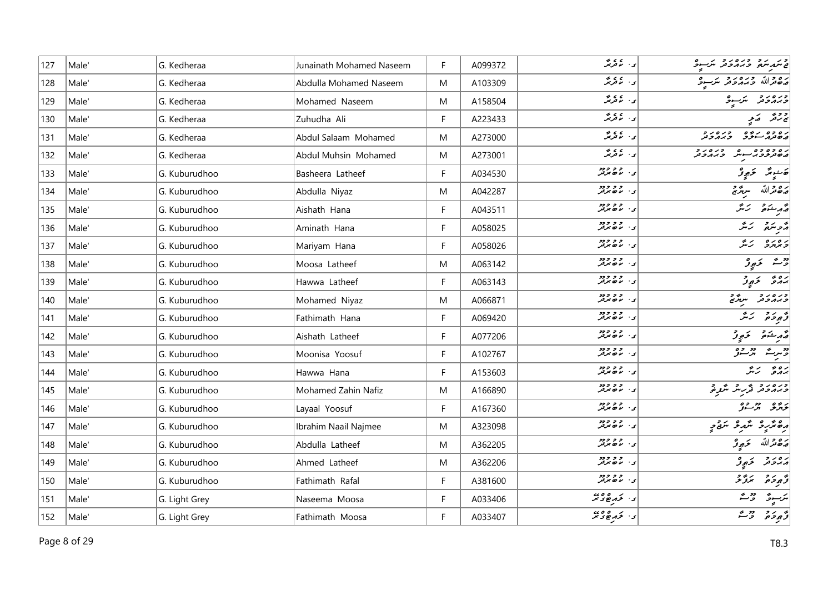| 127 | Male' | G. Kedheraa   | Junainath Mohamed Naseem | F  | A099372 | <sub>ی</sub> عمقر پمگر             | في سمير سكرة المحدد و المحمد سكر سور المحمد سكر المحمد السكر المحمد المحمد المحمد المحمد المحمد المحمد المحمد  |
|-----|-------|---------------|--------------------------|----|---------|------------------------------------|----------------------------------------------------------------------------------------------------------------|
| 128 | Male' | G. Kedheraa   | Abdulla Mohamed Naseem   | M  | A103309 | <sub>ى</sub> ، ئەقىرىتى            | أرە داللە دىرە دو سر-د                                                                                         |
| 129 | Male' | G. Kedheraa   | Mohamed Naseem           | M  | A158504 | <sub>ی</sub> ، عم <sup>و</sup> متر | ورەرو سرب                                                                                                      |
| 130 | Male' | G. Kedheraa   | Zuhudha Ali              | F. | A223433 | ى ، ئەقرىگە                        | ج ح شہ کے مخ                                                                                                   |
| 131 | Male' | G. Kedheraa   | Abdul Salaam Mohamed     | M  | A273000 | ى - ئافرىق                         | و رە ر د<br>تر پروتر<br>ره وه رر وه<br>پره تر پر سونژ تر                                                       |
| 132 | Male' | G. Kedheraa   | Abdul Muhsin Mohamed     | M  | A273001 | ى ، ئافرىتى                        | גם כם כם הם כגם גב<br>הם <i>נקברי ה</i> ית כגה כע                                                              |
| 133 | Male' | G. Kuburudhoo | Basheera Latheef         | F  | A034530 | و د دو.<br>ي سي هم تر              | ھُشومَّہ کَھوِرُ                                                                                               |
| 134 | Male' | G. Kuburudhoo | Abdulla Niyaz            | M  | A042287 | و و و و و د<br>ي - ما ھامولو       | أرة قرالله سرقرم                                                                                               |
| 135 | Male' | G. Kuburudhoo | Aishath Hana             | F  | A043511 | و د دو.<br>ي سماه مرتر             | أقهر يشوهوا الريثر                                                                                             |
| 136 | Male' | G. Kuburudhoo | Aminath Hana             | F  | A058025 | و و و و و د<br>ي - ما ھەمرلىر      | أزوينهم ترتكه                                                                                                  |
| 137 | Male' | G. Kuburudhoo | Mariyam Hana             | F  | A058026 | و و و و و د<br>ي - ما ھامولو       | ر ه بر ه<br><del>د</del> بربر ژ<br>ئەنگە                                                                       |
| 138 | Male' | G. Kuburudhoo | Moosa Latheef            | M  | A063142 | و و و و و د<br>ي - ما ھامولو       | ژمځه نوپوژ                                                                                                     |
| 139 | Male' | G. Kuburudhoo | Hawwa Latheef            | F  | A063143 | و و و و و د<br>ي - ما ھامولو       | رەپە ئەچ                                                                                                       |
| 140 | Male' | G. Kuburudhoo | Mohamed Niyaz            | M  | A066871 | כ כפר<br>ג' ע <i>סיא</i> נג        | כנסנב תוצב                                                                                                     |
| 141 | Male' | G. Kuburudhoo | Fathimath Hana           | F  | A069420 | و و و و و د<br>ي - ما ھامولو       | قەددە ئىگە                                                                                                     |
| 142 | Male' | G. Kuburudhoo | Aishath Latheef          | F  | A077206 | כ כפר<br>ג' ע <i>סיא</i> נג        |                                                                                                                |
| 143 | Male' | G. Kuburudhoo | Moonisa Yoosuf           | F  | A102767 | و و و و و د<br>ي - ما ھامولو       | وو ده ده وه وه<br>د سرگ اور سور                                                                                |
| 144 | Male' | G. Kuburudhoo | Hawwa Hana               | F  | A153603 | و و و و و د<br>ي - ما ھەمرلىر      | رەپ زېر                                                                                                        |
| 145 | Male' | G. Kuburudhoo | Mohamed Zahin Nafiz      | M  | A166890 | כ כפר<br>ג' ע <i>סיא</i> נג        | ورورو وربر مروية                                                                                               |
| 146 | Male' | G. Kuburudhoo | Layaal Yoosuf            | F  | A167360 | و و و و و د<br>ي - ما ھامولو       | ر ده در ده د                                                                                                   |
| 147 | Male' | G. Kuburudhoo | Ibrahim Naail Najmee     | M  | A323098 | כ כפר<br>ג' מ' <i>ס' א</i> בת      | أرەندىر ئىستىر ئىستى                                                                                           |
| 148 | Male' | G. Kuburudhoo | Abdulla Latheef          | M  | A362205 | د د ده<br>د ۱ ه مرتر               | أرجع فرالله تحجيز                                                                                              |
| 149 | Male' | G. Kuburudhoo | Ahmed Latheef            | M  | A362206 | כ כפר<br>ג' ע <i>סיא</i> נג        | أرور وتمالي والمحافية والمحمدة والمحمدة والمحمدة والمستردة والمحمدة والمستردة والمستردة المستردة والمستردة وال |
| 150 | Male' | G. Kuburudhoo | Fathimath Rafal          | F  | A381600 | و و و و و د<br>ي - ما ھامولو       | و المحمد المحمد المحمد المحمد المحمد                                                                           |
| 151 | Male' | G. Light Grey | Naseema Moosa            | F. | A033406 | ، ئەرھىي مە                        | پرسېږ<br>دومثر                                                                                                 |
| 152 | Male' | G. Light Grey | Fathimath Moosa          | F  | A033407 | ى ئۇم ھۇم ئىگە                     | ژُبودَ وَ"                                                                                                     |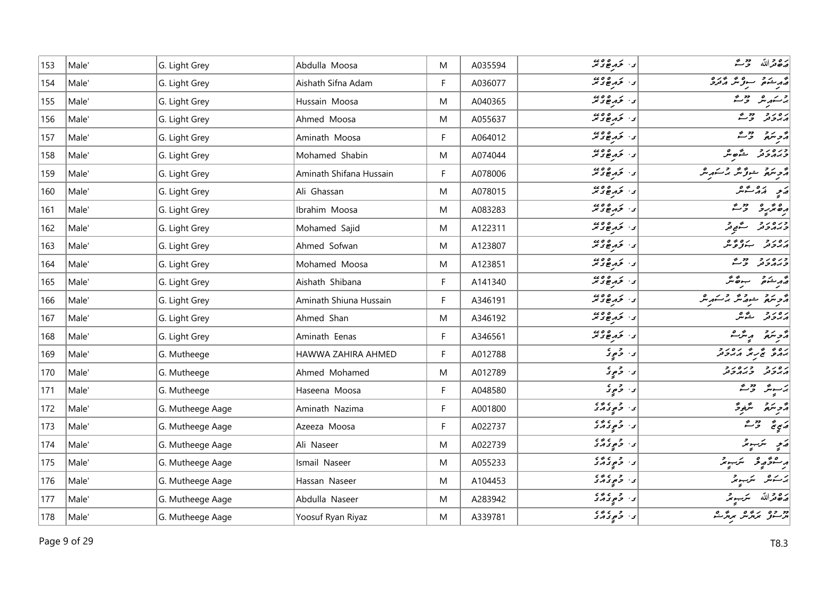| 153 | Male' | G. Light Grey    | Abdulla Moosa           | M           | A035594 | .<br>د کرم وه د کر                                                                                                                                                                                                              | مَدْهُ مِّرْ اللَّهُ حَرْثَةُ       |
|-----|-------|------------------|-------------------------|-------------|---------|---------------------------------------------------------------------------------------------------------------------------------------------------------------------------------------------------------------------------------|-------------------------------------|
| 154 | Male' | G. Light Grey    | Aishath Sifna Adam      | F           | A036077 | <sub>ی</sub> کوروه دیم                                                                                                                                                                                                          | وأمر شوه السوفي متراكز والمترد      |
| 155 | Male' | G. Light Grey    | Hussain Moosa           | M           | A040365 | ر که ده ۲۵۵ و                                                                                                                                                                                                                   | برسكر معرض وحسكم                    |
| 156 | Male' | G. Light Grey    | Ahmed Moosa             | M           | A055637 | ى ئەرھىمى                                                                                                                                                                                                                       | ړه ده ده ش                          |
| 157 | Male' | G. Light Grey    | Aminath Moosa           | F           | A064012 | ر که ده ۶۵ می <sub>ن</sub>                                                                                                                                                                                                      | ړ په ده ده د                        |
| 158 | Male' | G. Light Grey    | Mohamed Shabin          | M           | A074044 | ى ئۇم ھەممى                                                                                                                                                                                                                     | ورەرو شەھىر                         |
| 159 | Male' | G. Light Grey    | Aminath Shifana Hussain | F           | A078006 | ر کرده وی<br>د کرده د تر                                                                                                                                                                                                        | ۇرچىرە ھۆر ئەسكەب                   |
| 160 | Male' | G. Light Grey    | Ali Ghassan             | M           | A078015 | ى ئۇم ھەممە                                                                                                                                                                                                                     | أماسي أمام المحمد                   |
| 161 | Male' | G. Light Grey    | Ibrahim Moosa           | M           | A083283 | ى ئۇم ھەم تۈ                                                                                                                                                                                                                    | ەھترىرى دىم<br>بەھترىرى دىك         |
| 162 | Male' | G. Light Grey    | Mohamed Sajid           | M           | A122311 | ى كەرھى تە                                                                                                                                                                                                                      | ورەرو گەي تر                        |
| 163 | Male' | G. Light Grey    | Ahmed Sofwan            | M           | A123807 | ى ئەرھىمى                                                                                                                                                                                                                       | رەرد رەپەر<br>مەردىر سۆۋىر          |
| 164 | Male' | G. Light Grey    | Mohamed Moosa           | M           | A123851 | $rac{1}{x} \frac{1}{x} \frac{1}{x} \frac{1}{x} \frac{1}{x}$                                                                                                                                                                     | ورەر دور                            |
| 165 | Male' | G. Light Grey    | Aishath Shibana         | F           | A141340 | ، ئەرھ <sup>ەم،</sup>                                                                                                                                                                                                           | وكرشكو سوقاس                        |
| 166 | Male' | G. Light Grey    | Aminath Shiuna Hussain  | $\mathsf F$ | A346191 | ى ئۇمۇھ ئ                                                                                                                                                                                                                       | أأدمتكم شوارش برسكريس               |
| 167 | Male' | G. Light Grey    | Ahmed Shan              | M           | A346192 | ر که خهره ۶۵۵.<br>د کرم                                                                                                                                                                                                         | ره ر د شگر<br>مربر <del>د</del> شگر |
| 168 | Male' | G. Light Grey    | Aminath Eenas           | F           | A346561 | ى ئۇم ھەم تۈ                                                                                                                                                                                                                    | ۇ ئەستى ئەسىر                       |
| 169 | Male' | G. Mutheege      | HAWWA ZAHIRA AHMED      | F           | A012788 | ر و<br>د گوړ                                                                                                                                                                                                                    | גם 2 2 2 גם גב<br>ג'ול 2 2 1 ג'ולט  |
| 170 | Male' | G. Mutheege      | Ahmed Mohamed           | M           | A012789 | ر و<br>د گوړ                                                                                                                                                                                                                    | נפנד בנסנד<br>הגבת בגהבת            |
| 171 | Male' | G. Mutheege      | Haseena Moosa           | $\mathsf F$ | A048580 | د<br>د                                                                                                                                                                                                                          | پرَ پِ مِتْرِ حَرْبٌ                |
| 172 | Male' | G. Mutheege Aage | Aminath Nazima          | $\mathsf F$ | A001800 | ر - د ه د د د د<br>د - د ه پر د د                                                                                                                                                                                               | ۇ جە ئىدە<br>مەسىبە<br>سَرْهُ پَرُ  |
| 173 | Male' | G. Mutheege Aage | Azeeza Moosa            | $\mathsf F$ | A022737 | ر - د ه د ه د ه<br>د - د ه و د د د                                                                                                                                                                                              | $\frac{2}{\sqrt{3}}$ $\frac{2}{3}$  |
| 174 | Male' | G. Mutheege Aage | Ali Naseer              | M           | A022739 | ر - وه و و و و<br>د - وه و و و و                                                                                                                                                                                                | أرمو الكرسوم                        |
| 175 | Male' | G. Mutheege Aage | Ismail Naseer           | M           | A055233 | ر - وه و و و و<br>د - وه و و و و                                                                                                                                                                                                | ويحدثه والمستنبذ                    |
| 176 | Male' | G. Mutheege Aage | Hassan Naseer           | M           | A104453 | و عود عدد عدد عدد التي شده التي شده التي شده التي تعليم التي تعليم التي تعليم التي تعليم التي تعليم التي تعليم<br>منابع التي تعليم التي تعليم التي تعليم التي تعليم التي تعليم التي تعليم التي تعليم التي تعليم التي تعليم التي | ترسكانكر الترسيانكر                 |
| 177 | Male' | G. Mutheege Aage | Abdulla Naseer          | M           | A283942 | ر - د ه د د د د                                                                                                                                                                                                                 | وستصار مترجيحه                      |
| 178 | Male' | G. Mutheege Aage | Yoosuf Ryan Riyaz       | M           | A339781 | و عدد عدد عدد حديد العدد العداد العداد العداد العداد العداد العداد العداد العداد العداد العداد العدا<br>العداد العداد العداد العداد العداد العداد العداد العداد العداد العداد العداد العداد العداد العداد العداد العدا          | دو وه برنور برېژن <u>د</u>          |
|     |       |                  |                         |             |         |                                                                                                                                                                                                                                 |                                     |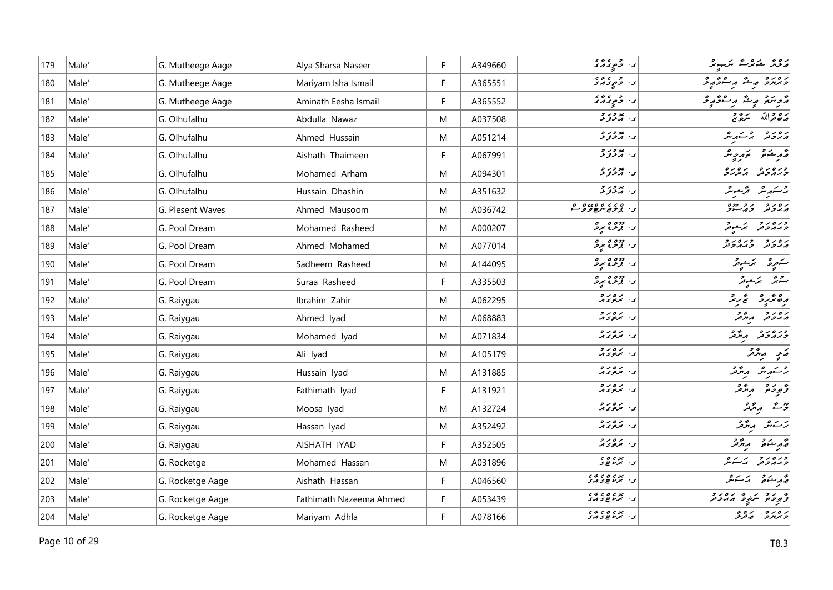| 179 | Male' | G. Mutheege Aage | Alya Sharsa Naseer      | F  | A349660 | د کی څوندن                                                       | رەپ خەبرىش سەيدىر                                                                                              |
|-----|-------|------------------|-------------------------|----|---------|------------------------------------------------------------------|----------------------------------------------------------------------------------------------------------------|
| 180 | Male' | G. Mutheege Aage | Mariyam Isha Ismail     | F. | A365551 | <br>  د ۱ د مود در                                               | د وړو په په مشو په و                                                                                           |
| 181 | Male' | G. Mutheege Aage | Aminath Eesha Ismail    | F  | A365552 | ر - د ه د د د د                                                  | مزدينتي ميش مي الموالي و                                                                                       |
| 182 | Male' | G. Olhufalhu     | Abdulla Nawaz           | M  | A037508 | ر برور و<br>د امروکو                                             | مَدْهُ مَّرْ سَرِ مَّةٌ مِّ                                                                                    |
| 183 | Male' | G. Olhufalhu     | Ahmed Hussain           | M  | A051214 | ر برور و<br>د ۱ هرنون                                            | رەرو جەسىر                                                                                                     |
| 184 | Male' | G. Olhufalhu     | Aishath Thaimeen        | F. | A067991 | ر برور و<br>د امروکو                                             | أقهر شكمة المحمد جامل                                                                                          |
| 185 | Male' | G. Olhufalhu     | Mohamed Arham           | M  | A094301 | ى بەردىرى                                                        | כנסנכ נסנס<br>כגמכת הצגב                                                                                       |
| 186 | Male' | G. Olhufalhu     | Hussain Dhashin         | M  | A351632 | ر سور در<br>د ۱ هرنوکر                                           | بركستهر ش التركسوس                                                                                             |
| 187 | Male' | G. Plesent Waves | Ahmed Mausoom           | M  | A036742 | ه په ده وه ده و ه<br>د ۶ گرمونو سرچ و و ک                        | גם גב גב בבם                                                                                                   |
| 188 | Male' | G. Pool Dream    | Mohamed Rasheed         | M  | A000207 | د ده وه مرد<br>د . ژنو و مرد                                     | ورەرو بەيدۇ                                                                                                    |
| 189 | Male' | G. Pool Dream    | Ahmed Mohamed           | M  | A077014 | ى بودە مرو                                                       | נפנד בנסנד<br>הגבת בגהבת                                                                                       |
| 190 | Male' | G. Pool Dream    | Sadheem Rasheed         | M  | A144095 | $\frac{1}{2}$                                                    | سكىرى ئىمكىمىتى                                                                                                |
| 191 | Male' | G. Pool Dream    | Suraa Rasheed           | F  | A335503 | د به دوه و رو<br>د با ارد و مرد                                  | لتشمتم المخرشونتر                                                                                              |
| 192 | Male' | G. Raiygau       | Ibrahim Zahir           | M  | A062295 | رە رە<br>ي- مركوكەر                                              | أرە ئۇرۇ سىمرىتى                                                                                               |
| 193 | Male' | G. Raiygau       | Ahmed Iyad              | M  | A068883 | ره رو<br>د کرچون                                                 | أرور و و و د                                                                                                   |
| 194 | Male' | G. Raiygau       | Mohamed Iyad            | M  | A071834 | رە رە<br>ي- مرە د پر                                             | ورەرو مەدو                                                                                                     |
| 195 | Male' | G. Raiygau       | Ali Iyad                | M  | A105179 | رە رە<br>ي- مرە د پر                                             | أتذبح ويرقد                                                                                                    |
| 196 | Male' | G. Raiygau       | Hussain lyad            | M  | A131885 | رە رە<br>ي- مرە د پر                                             | 2 سەر شەر مەرك <i>ت</i> ىر                                                                                     |
| 197 | Male' | G. Raiygau       | Fathimath Iyad          | F  | A131921 | ני מסיב<br>ז' מסבא                                               | توجوحه مقرم                                                                                                    |
| 198 | Male' | G. Raiygau       | Moosa Iyad              | M  | A132724 | ره رو<br>د کرچون                                                 | جزئشے مرمزمز                                                                                                   |
| 199 | Male' | G. Raiygau       | Hassan Iyad             | M  | A352492 | رە رە<br>ي- مركوكەر                                              | يركسكون الدوقر                                                                                                 |
| 200 | Male' | G. Raiygau       | AISHATH IYAD            | F  | A352505 | ره رو<br>د کرچون                                                 | أقرم شكاتح واقرقر                                                                                              |
| 201 | Male' | G. Rocketge      | Mohamed Hassan          | M  | A031896 | $\begin{array}{cc} c & c & \times \\ s & e & \times \end{array}$ | ورەرو پەسەر                                                                                                    |
| 202 | Male' | G. Rocketge Aage | Aishath Hassan          | F  | A046560 | 39888                                                            | مەر خىق ئەسكىش                                                                                                 |
| 203 | Male' | G. Rocketge Aage | Fathimath Nazeema Ahmed | F. | A053439 | $39888$<br>$39587$                                               | تحمج وتحم تتم تمام والمحمدة المحمدة المحمدة المحمدة والمحمدة المحمدة المحمدة المحمدة المحمدة المحمدة المحمدة ا |
| 204 | Male' | G. Rocketge Aage | Mariyam Adhla           | F  | A078166 | 595057.5                                                         | رەرە رەپر                                                                                                      |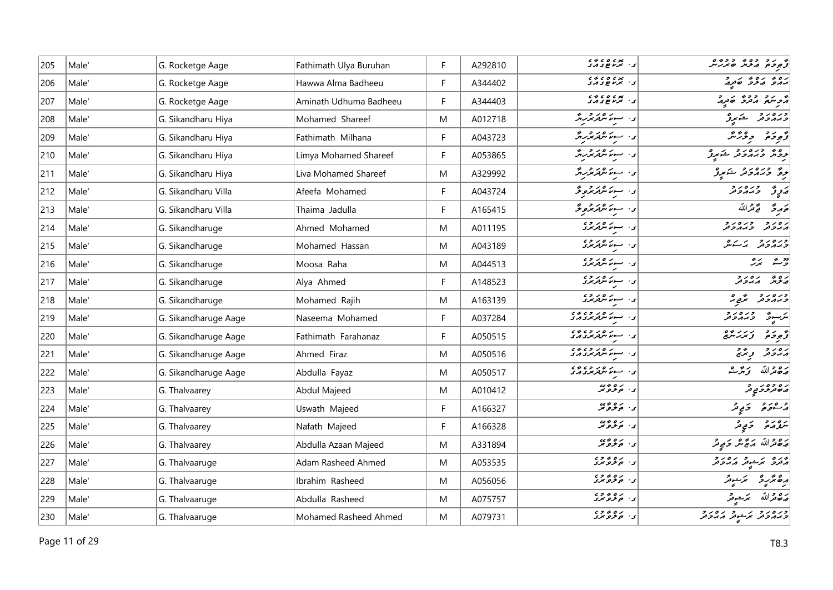| 205 | Male' | G. Rocketge Aage     | Fathimath Ulya Buruhan | F         | A292810 | $39888$<br>$5087$                                               | و د د ده د دوه ه                              |
|-----|-------|----------------------|------------------------|-----------|---------|-----------------------------------------------------------------|-----------------------------------------------|
| 206 | Male' | G. Rocketge Aage     | Hawwa Alma Badheeu     | F         | A344402 | $39888$<br>$3788$                                               | رە ئەرە ئەر                                   |
| 207 | Male' | G. Rocketge Aage     | Aminath Udhuma Badheeu | F.        | A344403 | $39888$<br>$5988$                                               | הכיתם, גינד סינה                              |
| 208 | Male' | G. Sikandharu Hiya   | Mohamed Shareef        | M         | A012718 | ى - سىمە ئىرتىرىترىدىگ                                          | ورەر د شەرۋ                                   |
| 209 | Male' | G. Sikandharu Hiya   | Fathimath Milhana      | F         | A043723 | ى - سىمە ئىرى <i>ترىن بىر</i> گە                                | أزجوحه وفرشتر                                 |
| 210 | Male' | G. Sikandharu Hiya   | Limya Mohamed Shareef  | F         | A053865 | ى - سىمە ئىرى <i>ترىن بىر</i> گە                                | وو دره در شهرو                                |
| 211 | Male' | G. Sikandharu Hiya   | Liva Mohamed Shareef   | ${\sf M}$ | A329992 | ى - سىمە ئىرتىرىرىگە                                            | وة ورورو شهرو                                 |
| 212 | Male' | G. Sikandharu Villa  | Afeefa Mohamed         | F         | A043724 | ى سىمە ئىرىر ئىرى ئى                                            | בְּנֶלֿ כְּגֹתְכֹת                            |
| 213 | Male' | G. Sikandharu Villa  | Thaima Jadulla         | F         | A165415 | ى سىمە ئىرىرىمى ئى                                              | تحرير قحقرالله                                |
| 214 | Male' | G. Sikandharuge      | Ahmed Mohamed          | M         | A011195 | ى سونە ئىرورىي                                                  | ره رو وره رو<br>مدرو وبه دور                  |
| 215 | Male' | G. Sikandharuge      | Mohamed Hassan         | M         | A043189 | ى - سىن شرقىرى - c c                                            | ورەرو پەسەر                                   |
| 216 | Male' | G. Sikandharuge      | Moosa Raha             | M         | A044513 | ى · سىمە ئىگەنچە تەرىپى<br>س                                    | وحرقته بررمج                                  |
| 217 | Male' | G. Sikandharuge      | Alya Ahmed             | F         | A148523 | ی - سسم <i>ما مرتوبو</i> ی                                      | أيروبو برورد                                  |
| 218 | Male' | G. Sikandharuge      | Mohamed Rajih          | M         | A163139 | ى سونە ئىروم دە<br>————————————————————                         | ورەر د پ <sub>ەر</sub> ە<br><i>دىد</i> ەر بۇي |
| 219 | Male' | G. Sikandharuge Aage | Naseema Mohamed        | F         | A037284 | ى سىمە شەھرىرى بەرى<br>ي                                        | شريدة ورەرد                                   |
| 220 | Male' | G. Sikandharuge Aage | Fathimath Farahanaz    | F         | A050515 | ی ۱۰ سره مربوع و ۲<br>به ۱۰ سره مربوری وری                      | أو دو دريدوه                                  |
| 221 | Male' | G. Sikandharuge Aage | Ahmed Firaz            | M         | A050516 | ی - سوماً میں ترجی ہے جا<br>ی - سوماً میں تعریف ہے جا           | د ۱۵ د به د پرسخ                              |
| 222 | Male' | G. Sikandharuge Aage | Abdulla Fayaz          | M         | A050517 | ی ۱۰ سونما میتواند و ۲ و ۲ و ۲<br>ارد ۱۰ سونما میتواند و آزاد و | حقص الله وكريم                                |
| 223 | Male' | G. Thalvaarey        | Abdul Majeed           | M         | A010412 | ر ه وی.<br>د ۱ مونونو                                           | ر ه و ه د د و<br>پره ترڅرنو په تر             |
| 224 | Male' | G. Thalvaarey        | Uswath Majeed          | F         | A166327 | ر ه وی.<br>ی گورگونمر                                           | و ه د د د د د                                 |
| 225 | Male' | G. Thalvaarey        | Nafath Majeed          | F         | A166328 | ر ه و و د<br>د ۰ ه <del>و</del> و <del>ب</del> ر                | ره ر د در د<br>سرگ <i>ره ب</i> ه دی مر        |
| 226 | Male' | G. Thalvaarey        | Abdulla Azaan Majeed   | ${\sf M}$ | A331894 | ر ه و و د .<br>د ۰ ه <del>و</del> و مر                          | رە قراللە برۇ ھ بەي قر                        |
| 227 | Male' | G. Thalvaaruge       | Adam Rasheed Ahmed     | ${\sf M}$ | A053535 | ر ه د و د و د<br>د ۰ مومومرد                                    | ورو نرجيتر كارور                              |
| 228 | Male' | G. Thalvaaruge       | Ibrahim Rasheed        | M         | A056056 | ره ۶ و د د<br>د ۰ هرمونوری                                      | أرە ئۇرۇ سىمئون                               |
| 229 | Male' | G. Thalvaaruge       | Abdulla Rasheed        | M         | A075757 | ر ه د و د و د<br>د ۰ ه موڅو برو                                 | أرة قرالله تمتحية                             |
| 230 | Male' | G. Thalvaaruge       | Mohamed Rasheed Ahmed  | ${\sf M}$ | A079731 | ر ه و و و و <u>و</u><br>د ۱ هوڅو ترو                            | ورەرو برخوتر مەرو                             |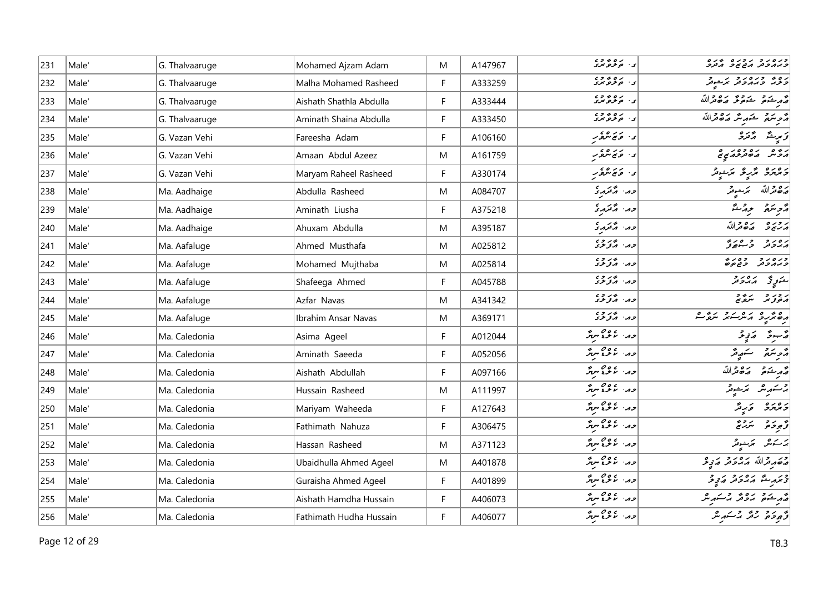| 231 | Male' | G. Thalvaaruge | Mohamed Ajzam Adam      | M           | A147967 | ر ه د و د د<br>د ۰ ه <del>و</del> و برد                                                                  | כנסג כ גבגם שגם<br>כגמכת מששכ מתכ         |
|-----|-------|----------------|-------------------------|-------------|---------|----------------------------------------------------------------------------------------------------------|-------------------------------------------|
| 232 | Male' | G. Thalvaaruge | Malha Mohamed Rasheed   | F           | A333259 | ره ۶ و ۶<br>۲۰ گوڅونونو                                                                                  | ره و دره رو بر شوتر<br>د وير د بر بر شوتر |
| 233 | Male' | G. Thalvaaruge | Aishath Shathla Abdulla | F           | A333444 | ره ۶ و ۶<br>۲۰ گوڅونونو                                                                                  | قهر يدوم بدوع بره قرالله                  |
| 234 | Male' | G. Thalvaaruge | Aminath Shaina Abdulla  | F           | A333450 | ر ه ۶ و د د<br>د ۰ ه <del>و</del> و تور                                                                  | وتحريبهم خوربتر وكافدالله                 |
| 235 | Male' | G. Vazan Vehi  | Fareesha Adam           | F           | A106160 | ى بەر ئەيھۇر                                                                                             | تزيرنى المرترو                            |
| 236 | Male' | G. Vazan Vehi  | Amaan Abdul Azeez       | M           | A161759 | ى بەسكە ئەھمەر                                                                                           |                                           |
| 237 | Male' | G. Vazan Vehi  | Maryam Raheel Rasheed   | F           | A330174 | ى ئەستى ئىبرىسى بە                                                                                       | دەرە بۇرۇ بۇيىتى                          |
| 238 | Male' | Ma. Aadhaige   | Abdulla Rasheed         | M           | A084707 | وړ٠ م <sup>ځ</sup> ترمر <sup>ي</sup>                                                                     | ره و الله تمرشوند<br>مصر الله تمرشوند     |
| 239 | Male' | Ma. Aadhaige   | Aminath Liusha          | F           | A375218 | در گرمره                                                                                                 | أأوسكم وارشأ                              |
| 240 | Male' | Ma. Aadhaige   | Ahuxam Abdulla          | M           | A395187 | ور. د ترمره                                                                                              | ورديو وكامرالله                           |
| 241 | Male' | Ma. Aafaluge   | Ahmed Musthafa          | M           | A025812 | وړ٠ د توره                                                                                               | ره رو و مرد<br>پرېگر و سوبونې             |
| 242 | Male' | Ma. Aafaluge   | Mohamed Mujthaba        | M           | A025814 | وړ٠ د توره                                                                                               | כנסני כסני<br>כגובת כביקים                |
| 243 | Male' | Ma. Aafaluge   | Shafeega Ahmed          | $\mathsf F$ | A045788 | وړ٠ د توره                                                                                               | شَرَرٍ يَذَ دَ دَ دَ دَ                   |
| 244 | Male' | Ma. Aafaluge   | Azfar Navas             | M           | A341342 | وړ٠ مرکز و ،<br>در                                                                                       | ر ور د سره د<br>منوفر سره م               |
| 245 | Male' | Ma. Aafaluge   | Ibrahim Ansar Navas     | M           | A369171 | وړ٠ د توره                                                                                               | و معرب و برو برو بروت                     |
| 246 | Male' | Ma. Caledonia  | Asima Ageel             | F           | A012044 | احد عوج سرگر                                                                                             | ۇسوۇ مۇيى                                 |
| 247 | Male' | Ma. Caledonia  | Aminath Saeeda          | F           | A052056 | כוחי על פיי ייעות                                                                                        | ۇ ئەسىم ئىسىم                             |
| 248 | Male' | Ma. Caledonia  | Aishath Abdullah        | F           | A097166 | احد عوج سرگر                                                                                             | صمصر صدة الله                             |
| 249 | Male' | Ma. Caledonia  | Hussain Rasheed         | M           | A111997 |                                                                                                          | چرىسىم ئىر                                |
| 250 | Male' | Ma. Caledonia  | Mariyam Waheeda         | F           | A127643 | ور ، سوم سرگر                                                                                            | د ۱۵ د مرينگر                             |
| 251 | Male' | Ma. Caledonia  | Fathimath Nahuza        | F           | A306475 |                                                                                                          | قرم فرديد                                 |
| 252 | Male' | Ma. Caledonia  | Hassan Rasheed          | M           | A371123 | ور. عوه صدر                                                                                              | پرسەملەر ئىزىشوقىر                        |
| 253 | Male' | Ma. Caledonia  | Ubaidhulla Ahmed Ageel  | M           | A401878 | כוחי על פי מות                                                                                           | وقصر مثرالله وبرود وتوفر                  |
| 254 | Male' | Ma. Caledonia  | Guraisha Ahmed Ageel    | F           | A401899 | $\int_{\mathcal{V}'} \frac{\partial}{\partial \xi} \frac{\partial}{\partial \xi} \cdot \mathcal{A}(\xi)$ | ويمرك مهادو ماء و                         |
| 255 | Male' | Ma. Caledonia  | Aishath Hamdha Hussain  | F           | A406073 | בגי על ביתות                                                                                             | $\stackrel{\circ}{\mathcal{L}}$           |
| 256 | Male' | Ma. Caledonia  | Fathimath Hudha Hussain | F           | A406077 | בו ישיב בייתול                                                                                           | توجوحو رفر برسكر مر                       |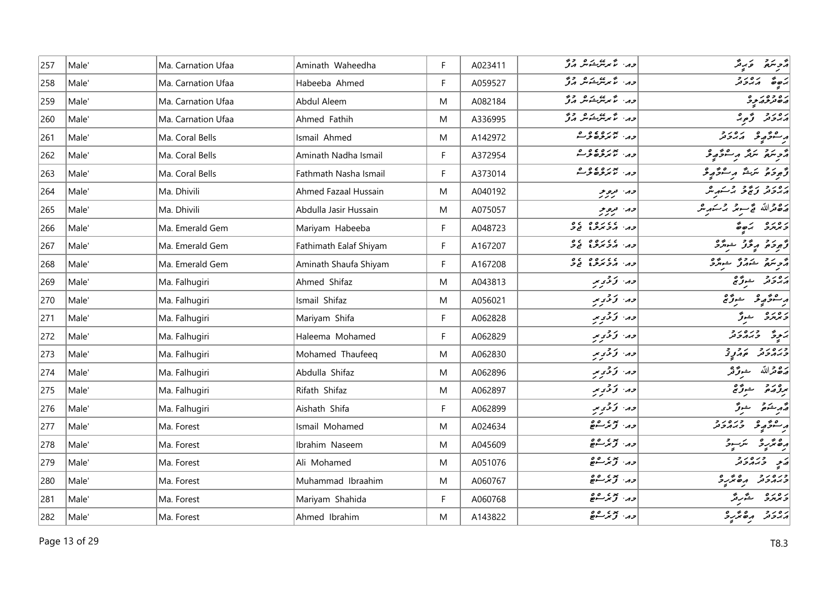| 257 | Male' | Ma. Carnation Ufaa | Aminath Waheedha       | F  | A023411 | وړ٠ تا برنتونتونتر م <sup>ونو</sup>       | أأروبتهم وكبار                             |
|-----|-------|--------------------|------------------------|----|---------|-------------------------------------------|--------------------------------------------|
| 258 | Male' | Ma. Carnation Ufaa | Habeeba Ahmed          | F. | A059527 | وە ، ئ <sup>ە</sup> بەش شەك مەتى          | 5,0,0,0,0.0                                |
| 259 | Male' | Ma. Carnation Ufaa | Abdul Aleem            | M  | A082184 | وړ٠ تا برنتونتونتو او د و                 | رە دەر<br>ھەمگرىم ئوچ                      |
| 260 | Male' | Ma. Carnation Ufaa | Ahmed Fathih           | M  | A336995 | وړ٠ تا <sub>پر</sub> ښوشو لرومخ           | رەرد ئەر                                   |
| 261 | Male' | Ma. Coral Bells    | Ismail Ahmed           | M  | A142972 | وړ٠ تا بروه وگ                            | ر عرصي ده در د                             |
| 262 | Male' | Ma. Coral Bells    | Aminath Nadha Ismail   | F  | A372954 | وړ٠ ته بره په و ه                         | ړٌ د سره سره ره شرخه د                     |
| 263 | Male' | Ma. Coral Bells    | Fathmath Nasha Ismail  | F  | A373014 | وړ ، نوروه وگ                             | وتجودة الرك والمحتور والمحصر               |
| 264 | Male' | Ma. Dhivili        | Ahmed Fazaal Hussain   | M  | A040192 | وړ٠ تورونو<br>در                          | גם גב גבב בגורית.<br>הגבת צאב גבותית       |
| 265 | Male' | Ma. Dhivili        | Abdulla Jasir Hussain  | M  | A075057 | وړ٠ ترونو                                 | مَصْحَدُاللَّهُ قُدْسُوتِرْ بْرَسَوْرِيْرْ |
| 266 | Male' | Ma. Emerald Gem    | Mariyam Habeeba        | F  | A048723 |                                           | ره ره برصهٔ                                |
| 267 | Male' | Ma. Emerald Gem    | Fathimath Ealaf Shiyam | F. | A167207 | י יוניסטיים פי<br>כולי ולכמישי בי         | توجوخو مرقرقى خورقرق                       |
| 268 | Male' | Ma. Emerald Gem    | Aminath Shaufa Shiyam  | F  | A167208 |                                           | أأوسم شروق جدادة                           |
| 269 | Male' | Ma. Falhugiri      | Ahmed Shifaz           | M  | A043813 | وە . ئۇ ئىمى بىر                          | د ه د د و شووځ ح<br>  د بر د تر مر د مر    |
| 270 | Male' | Ma. Falhugiri      | Ismail Shifaz          | M  | A056021 | —<br>  <i>وه</i> ۰۰ توگ <sup>9</sup> ترمر | بر سىۋېر ئىس سىرتى                         |
| 271 | Male' | Ma. Falhugiri      | Mariyam Shifa          | F. | A062828 | <br>  <i>وه</i> کوگویو                    | و ه ده و شوگر                              |
| 272 | Male' | Ma. Falhugiri      | Haleema Mohamed        | F  | A062829 | —<br>  <i>وه</i> کوگومو                   | بروڈ ورورو                                 |
| 273 | Male' | Ma. Falhugiri      | Mohamed Thaufeeq       | M  | A062830 | —<br>  <i>وه</i> کوگومو                   | כנים ניכי בי                               |
| 274 | Male' | Ma. Falhugiri      | Abdulla Shifaz         | M  | A062896 | <br> در گرگریمی                           | پره ترالله جو تر تر                        |
| 275 | Male' | Ma. Falhugiri      | Rifath Shifaz          | M  | A062897 | وەس كەمىي بىر                             | ىرۇر ئەرگەم ئىسىرگەمى<br>ب                 |
| 276 | Male' | Ma. Falhugiri      | Aishath Shifa          | F  | A062899 | —<br>  وړې توکوي مړ                       | أقدم يشوقر                                 |
| 277 | Male' | Ma. Forest         | Ismail Mohamed         | M  | A024634 | دە. ئ <sub>ۇ بىر</sub> مىق                | وستورو وبرورد                              |
| 278 | Male' | Ma. Forest         | Ibrahim Naseem         | M  | A045609 | وړ کو برگو                                | رە ئۇرۇ سىر بەر                            |
| 279 | Male' | Ma. Forest         | Ali Mohamed            | M  | A051076 | وړ کو برخو                                | أصو وره رو                                 |
| 280 | Male' | Ma. Forest         | Muhammad Ibraahim      | M  | A060767 | وړ کو برگو                                | כמחכת הפתיכ                                |
| 281 | Male' | Ma. Forest         | Mariyam Shahida        | F. | A060768 | ور. تو پر صفح                             | رەرە شەرقە                                 |
| 282 | Male' | Ma. Forest         | Ahmed Ibrahim          | M  | A143822 | ور. تو تر شاه                             | גפנק השתניק                                |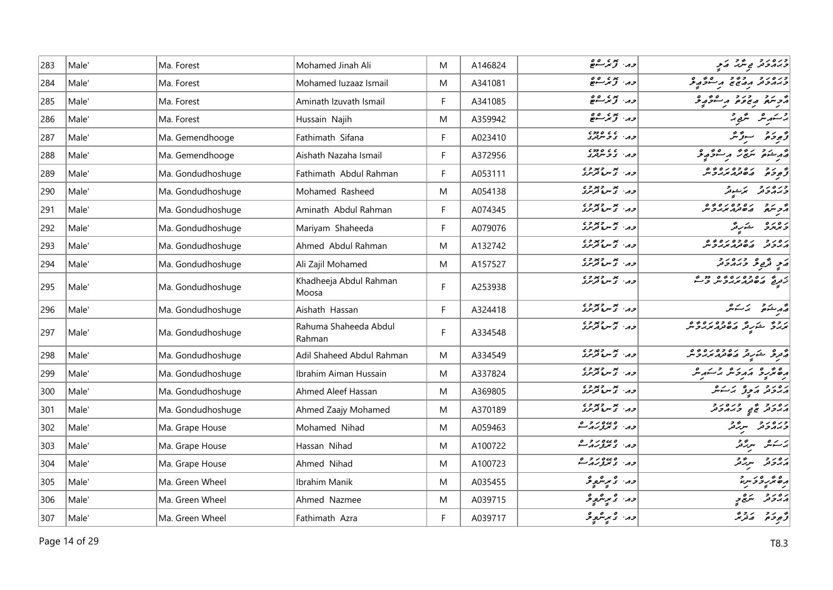| 283 | Male' | Ma. Forest        | Mohamed Jinah Ali               | M  | A146824 | وړ· تو پر شم                                       | دبره برد و پژبر کرم                          |
|-----|-------|-------------------|---------------------------------|----|---------|----------------------------------------------------|----------------------------------------------|
| 284 | Male' | Ma. Forest        | Mohamed luzaaz Ismail           | M  | A341081 | ور. تو تر شاه                                      | כמחכת תחשש תשיכתי                            |
| 285 | Male' | Ma. Forest        | Aminath Izuvath Ismail          | F  | A341085 | ورستخ برقيق                                        | أأدينهم وبمفق ويحفظو                         |
| 286 | Male' | Ma. Forest        | Hussain Najih                   | M  | A359942 | ور. تو تر شره                                      | 2 سەر شەھەر مىسىمب <sup>ى</sup> ر            |
| 287 | Male' | Ma. Gemendhooge   | Fathimath Sifana                | F  | A023410 | ه ده ده ده<br>ده که د سربرد                        | ژَهِ دَهْ وَ سُرَنَّهُ                       |
| 288 | Male' | Ma. Gemendhooge   | Aishath Nazaha Ismail           | F  | A372956 | ے بے 250 وو ۽<br>حمد کا تحصيل پوري                 | م الله عنه عليه المسلم المسلم الم            |
| 289 | Male' | Ma. Gondudhoshuge | Fathimath Abdul Rahman          | F  | A053111 | پر ۱۰ مورد و د د د د<br>ترمر از کاموره فرمزی       | ه د د ده ده ده ده و<br>زوره ماه ترمه پرس     |
| 290 | Male' | Ma. Gondudhoshuge | Mohamed Rasheed                 | M  | A054138 | بر به سرح برون<br><i>وه سم</i> سره توسری           | ورەرو بۇجو                                   |
| 291 | Male' | Ma. Gondudhoshuge | Aminath Abdul Rahman            | F. | A074345 | پر ۱۰ د ۲۶ و د د د<br>د ۱۸ ۰ تا که سرع قرس         | ם ני נסיכסנסים.<br>הכיתם הסינה <i>הגב</i> ית |
| 292 | Male' | Ma. Gondudhoshuge | Mariyam Shaheeda                | F  | A079076 | پر ۱۰ د ۲۶ و د د د<br>د ۱۸ ۰ تا که سرع قرس         | و ه ره د شورتگر                              |
| 293 | Male' | Ma. Gondudhoshuge | Ahmed Abdul Rahman              | M  | A132742 | پر سر و پر و ۽<br><i>وه</i> سر محمد موسوري         | ره رو ده ده ده ده و<br>م.پروتر م.گ ترم.پروتر |
| 294 | Male' | Ma. Gondudhoshuge | Ali Zajil Mohamed               | M  | A157527 | بر سر وبروه<br><i>وه</i> کرس تر <i>مز</i>          | أرو المروفر وبرود و                          |
| 295 | Male' | Ma. Gondudhoshuge | Khadheeja Abdul Rahman<br>Moosa | F  | A253938 | بر به سرح برون<br><i>وه سم</i> س علم قر <i>مزی</i> | زره ده ده ده ده و در و                       |
| 296 | Male' | Ma. Gondudhoshuge | Aishath Hassan                  | F  | A324418 | پر ، سمجھ روپے<br>حەر ، سمجھ سمجھ توسری            | مەر شىم ئىر ئىكىش                            |
| 297 | Male' | Ma. Gondudhoshuge | Rahuma Shaheeda Abdul<br>Rahman | F  | A334548 | بر به سر و پر و د<br>برهار می سره قرمزی            | ر و د مرکز در ۲۵ د د د د م                   |
| 298 | Male' | Ma. Gondudhoshuge | Adil Shaheed Abdul Rahman       | M  | A334549 | بر به سرح برون<br><i>وه سم</i> س علم تعرض          | و ده در د ده ده ده ده و د                    |
| 299 | Male' | Ma. Gondudhoshuge | Ibrahim Aiman Hussain           | M  | A337824 | بر به سرح برون<br><i>وه سم</i> سره توسری           | رەمزىرو مەدەر جىسمىد                         |
| 300 | Male' | Ma. Gondudhoshuge | Ahmed Aleef Hassan              | M  | A369805 | بر به سر و بر و د<br>بر در سر کرمری                | ړ د د ډې پر شر                               |
| 301 | Male' | Ma. Gondudhoshuge | Ahmed Zaajy Mohamed             | M  | A370189 | پر سر و پر و ۽<br><i>وه</i> سر محمد موسوري         | رور و ځي وره د و                             |
| 302 | Male' | Ma. Grape House   | Mohamed Nihad                   | M  | A059463 | ە ، ، ، ە ، د ە<br>دە · ، ئە ئەيمەر بەر            | ورەر د سرگەر                                 |
| 303 | Male' | Ma. Grape House   | Hassan Nihad                    | M  | A100722 | ه ۲۵۷۵ ورو ه<br>د د کامرو کرد                      | يرُ سُوش البررگيز                            |
| 304 | Male' | Ma. Grape House   | Ahmed Nihad                     | M  | A100723 | ه ۲۵۷۵ ور و ه<br>د د کامرو مرکب                    | پروتر سرگرفر                                 |
| 305 | Male' | Ma. Green Wheel   | Ibrahim Manik                   | M  | A035455 | در ، گوپر شهوی گ                                   | ە ھەمگەر 2 كەرىر<br>مەھەمگەر 2 كەرىرىيە      |
| 306 | Male' | Ma. Green Wheel   | Ahmed Nazmee                    | M  | A039715 | در گرېږېږ و                                        | بر 2 د تر<br>م <i>ر</i> بر تر<br>سرهج حر     |
| 307 | Male' | Ma. Green Wheel   | Fathimath Azra                  | F  | A039717 | در گرېږېږ و                                        | و دو دور                                     |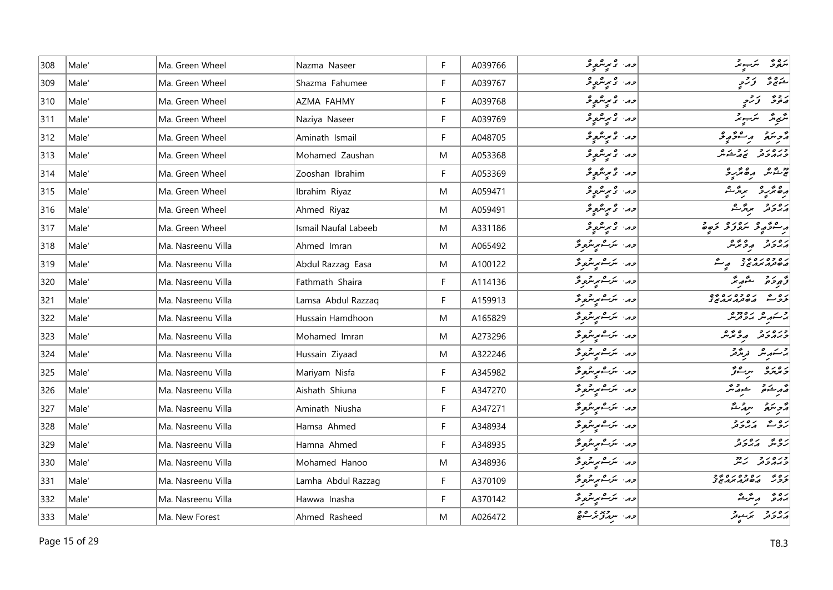| 308 | Male' | Ma. Green Wheel    | Nazma Naseer         | F           | A039766 | در ، د بر ټرمو پژ                          | للركافة الكرسومر                                   |
|-----|-------|--------------------|----------------------|-------------|---------|--------------------------------------------|----------------------------------------------------|
| 309 | Male' | Ma. Green Wheel    | Shazma Fahumee       | F           | A039767 | دە. ، ئىمپى <sup>ت</sup> موقى              | شەچ ۋ<br>تزرجي                                     |
| 310 | Male' | Ma. Green Wheel    | AZMA FAHMY           | $\mathsf F$ | A039768 | دە. ، ئېرىئږگە                             | ر و و<br>م نو ژ<br>ترژحي                           |
| 311 | Male' | Ma. Green Wheel    | Naziya Naseer        | F           | A039769 | د. ، ، ؟ بر سره ٍ وٌ                       | لتربيرتش الترسوند                                  |
| 312 | Male' | Ma. Green Wheel    | Aminath Ismail       | F           | A048705 | ور. و پرسمو د                              | مزجر متعاقبه وسنتوا ويحر                           |
| 313 | Male' | Ma. Green Wheel    | Mohamed Zaushan      | M           | A053368 | ور. د پر شهره                              | ورەرو روشكر<br><i>ويد</i> رونر ت <sub>ك</sub> رشكر |
| 314 | Male' | Ma. Green Wheel    | Zooshan Ibrahim      | F           | A053369 | در و پر شهوی                               | د شرکته مره تر <i>پ</i> ره<br>مختشر مره تر پره     |
| 315 | Male' | Ma. Green Wheel    | Ibrahim Riyaz        | M           | A059471 | دە. ، ئېرىئږگە                             | رە ئەر ئەر ئە                                      |
| 316 | Male' | Ma. Green Wheel    | Ahmed Riyaz          | M           | A059491 | دە. ، ئېرىشمېر ئ                           | أرەر دەر بەرگ                                      |
| 317 | Male' | Ma. Green Wheel    | Ismail Naufal Labeeb | M           | A331186 | <i>د</i> ړ٠ <sub>د</sub> بر پر پر پر       | ر جۇيەبى سەزىر كەھ                                 |
| 318 | Male' | Ma. Nasreenu Villa | Ahmed Imran          | M           | A065492 | دە ئىزىشمېرىشمۇقە                          | رەرد مەدىمى                                        |
| 319 | Male' | Ma. Nasreenu Villa | Abdul Razzag Easa    | M           | A100122 | <sub>19.</sub> سَرَتْ بِرِسْرَهِ بَرَّ     | ره وه ره دو و په مخ                                |
| 320 | Male' | Ma. Nasreenu Villa | Fathmath Shaira      | F           | A114136 | دە. ئى <i>رگىمپىترو</i> گە                 | ژوده څړنگه                                         |
| 321 | Male' | Ma. Nasreenu Villa | Lamsa Abdul Razzaq   | $\mathsf F$ | A159913 | رە. س <i>رَ</i> ڪىمپەسْرە <sub>ر</sub> ۇ   | ره معدده ده ده به                                  |
| 322 | Male' | Ma. Nasreenu Villa | Hussain Hamdhoon     | M           | A165829 | رە. س <i>رَ</i> ىشمېرسر <sub>ىمب</sub> ورگ | ج ڪهر مرڪبور هر                                    |
| 323 | Male' | Ma. Nasreenu Villa | Mohamed Imran        | M           | A273296 | رە. س <i>رَ</i> ےمبِسْرە ئ                 | ورەرو مەممە                                        |
| 324 | Male' | Ma. Nasreenu Villa | Hussain Ziyaad       | M           | A322246 | رە. س <i>رَ</i> ڪىمپەسْرە ئە               | برحسكر مرتزقر                                      |
| 325 | Male' | Ma. Nasreenu Villa | Mariyam Nisfa        | F           | A345982 | رە. س <i>رگىمپ</i> ىتر <sub>ىر</sub> ۇ     | ويورو سرعوش                                        |
| 326 | Male' | Ma. Nasreenu Villa | Aishath Shiuna       | F           | A347270 | در سرگرمېرسره د گر                         | شوره نگر<br>مر<br>و مر شو د<br>مرم شو د            |
| 327 | Male' | Ma. Nasreenu Villa | Aminath Niusha       | F           | A347271 | رە. س <i>رَڪىپى</i> سْھ <sub>ر</sub> ىگە   | أوجد المعالم المستقر                               |
| 328 | Male' | Ma. Nasreenu Villa | Hamsa Ahmed          | $\mathsf F$ | A348934 | رە. س <i>رىشىم</i> سرەر ئى                 | رە ئەردە                                           |
| 329 | Male' | Ma. Nasreenu Villa | Hamna Ahmed          | F           | A348935 | رە. س <i>رَ</i> ڪىمپەسْرُە <sub>ر</sub> ئە | رەپر بەردىر                                        |
| 330 | Male' | Ma. Nasreenu Villa | Mohamed Hanoo        | M           | A348936 | دە. س <i>رَ</i> گىمپە شَهْرَ مَحْ          | وره رو درود<br><i>وب</i> رمرونر کرنتر              |
| 331 | Male' | Ma. Nasreenu Villa | Lamha Abdul Razzag   | F           | A370109 | رە. س <i>رَڪىپى</i> سْھ <sub>ر</sub> ىگە   | גם כם גם 4 ב<br>השינו <i>ת ה</i> דיב<br>ىزەپ       |
| 332 | Male' | Ma. Nasreenu Villa | Hawwa Inasha         | F           | A370142 | رە. س <i>رَ</i> ڪىمپەسْرە <sub>ر</sub> ۇ   | رە ئەسرىگە<br>بەرە ئ                               |
| 333 | Male' | Ma. New Forest     | Ahmed Rasheed        | M           | A026472 | حد سرد بوره وه<br>حد سرد بوسط              | رەر ئەستىر<br>مەرى ئەستىر                          |
|     |       |                    |                      |             |         |                                            |                                                    |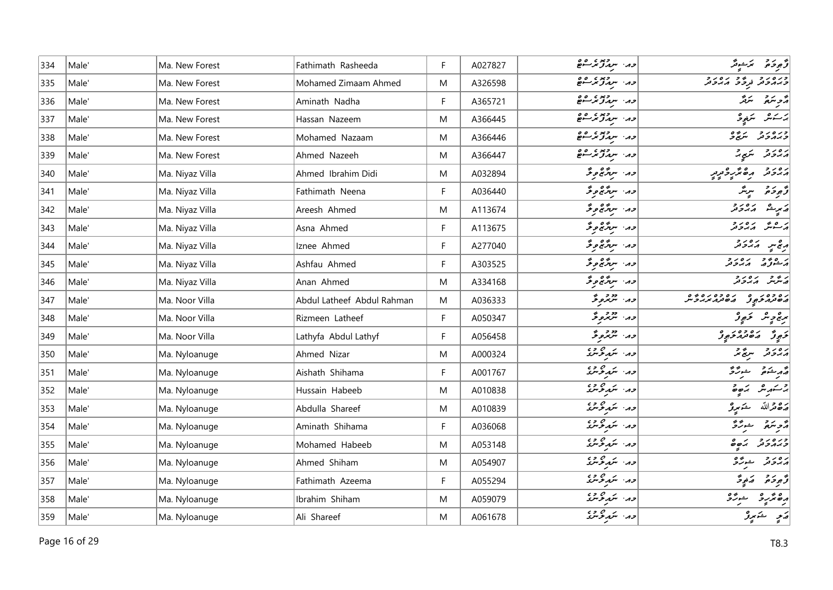| 334 | Male' | Ma. New Forest  | Fathimath Rasheeda         | F         | A027827 | وړ. سرونو ده ده<br>در سرونو سره          | أزَّوِدَهُ بَرَجْهِ مَّدْ                               |
|-----|-------|-----------------|----------------------------|-----------|---------|------------------------------------------|---------------------------------------------------------|
| 335 | Male' | Ma. New Forest  | Mohamed Zimaam Ahmed       | M         | A326598 | وړ٠ سروبو ده وه<br>در٠ سروبو شريع        | ورەر د پرو رەر د                                        |
| 336 | Male' | Ma. New Forest  | Aminath Nadha              | F.        | A365721 | در سردبو عرضها                           | أأترسم سكر                                              |
| 337 | Male' | Ma. New Forest  | Hassan Nazeem              | M         | A366445 | כו. ייטרובי הפ                           | ىز سەھر سىمپرى                                          |
| 338 | Male' | Ma. New Forest  | Mohamed Nazaam             | M         | A366446 | ور. سردبو عرضه                           | سرچ و<br>و ر ه ر و<br>تر پر تر تر                       |
| 339 | Male' | Ma. New Forest  | Ahmed Nazeeh               | M         | A366447 | בני ייטור זקים                           | پروتر سَيِ پُر                                          |
| 340 | Male' | Ma. Niyaz Villa | Ahmed Ibrahim Didi         | M         | A032894 | حەر سرم <sup>و</sup> چ ھ <sub>و</sub> ڭر |                                                         |
| 341 | Male' | Ma. Niyaz Villa | Fathimath Neena            | F         | A036440 | در. سرگموگر                              | ۇۋە ئەس ئېرىتگە                                         |
| 342 | Male' | Ma. Niyaz Villa | Areesh Ahmed               | M         | A113674 | دە. سرترىج و دَّ                         | ك مريد كالمردور                                         |
| 343 | Male' | Ma. Niyaz Villa | Asna Ahmed                 | F         | A113675 | دە. سرم <sup>ى</sup> ۋە ئ                | ړ ه شه پره پرونو                                        |
| 344 | Male' | Ma. Niyaz Villa | Iznee Ahmed                | F         | A277040 | دە. سرترىج و دَّ                         | أرجمير أكارد                                            |
| 345 | Male' | Ma. Niyaz Villa | Ashfau Ahmed               | F         | A303525 | دە. سرترىج و دَّ                         | ر ۱۵۰۵ بره رو<br>مشوره مرکز تر                          |
| 346 | Male' | Ma. Niyaz Villa | Anan Ahmed                 | M         | A334168 | دە. سرم <sup>ى</sup> ۋە ئ                | ر شرح ده د و<br>مرس شرح مدر                             |
| 347 | Male' | Ma. Noor Villa  | Abdul Latheef Abdul Rahman | ${\sf M}$ | A036333 | در. متر دو د                             |                                                         |
| 348 | Male' | Ma. Noor Villa  | Rizmeen Latheef            | F         | A050347 | —<br>  در سرگروگر                        | برج <i>چ</i> ش ځېږو<br>مخينه                            |
| 349 | Male' | Ma. Noor Villa  | Lathyfa Abdul Lathyf       | F         | A056458 | در. متر دو د                             | <i>בֿפֶּ</i> צֿ ג <sup>ַסְכְס</sup> ְב <sup>ְ</sup> פֶּ |
| 350 | Male' | Ma. Nyloanuge   | Ahmed Nizar                | M         | A000324 | وړ٠ سرگرمرۍ                              | رەرو سۆر                                                |
| 351 | Male' | Ma. Nyloanuge   | Aishath Shihama            | F         | A001767 | دړ٠ سَمرڅشځ                              | وكرمشكم مشوركة                                          |
| 352 | Male' | Ma. Nyloanuge   | Hussain Habeeb             | M         | A010838 | בו ייתכית                                | جر شهر شه بر شهره                                       |
| 353 | Male' | Ma. Nyloanuge   | Abdulla Shareef            | M         | A010839 | وړ٠ سرگرمرۍ                              | پره قرالله شمیرو                                        |
| 354 | Male' | Ma. Nyloanuge   | Aminath Shihama            | F         | A036068 | בו. ייתבייט                              | أزويتم ويتراد                                           |
| 355 | Male' | Ma. Nyloanuge   | Mohamed Habeeb             | M         | A053148 | وړ· سَمدِ څشو                            | 001 31017                                               |
| 356 | Male' | Ma. Nyloanuge   | Ahmed Shiham               | M         | A054907 | בו ייתק בית                              | رەرد جەرمى                                              |
| 357 | Male' | Ma. Nyloanuge   | Fathimath Azeema           | F         | A055294 | ادر سَدِ دُبي                            | وَّجِرْحَمَ مَنْ حَمَّ                                  |
| 358 | Male' | Ma. Nyloanuge   | Ibrahim Shiham             | M         | A059079 | בו. יתו בייש                             | 5, 20, 0,<br>ے پ <sup>و</sup> گر                        |
| 359 | Male' | Ma. Nyloanuge   | Ali Shareef                | M         | A061678 | وړ٠ سرمر شر <sup>ي</sup>                 | ړې خپرو                                                 |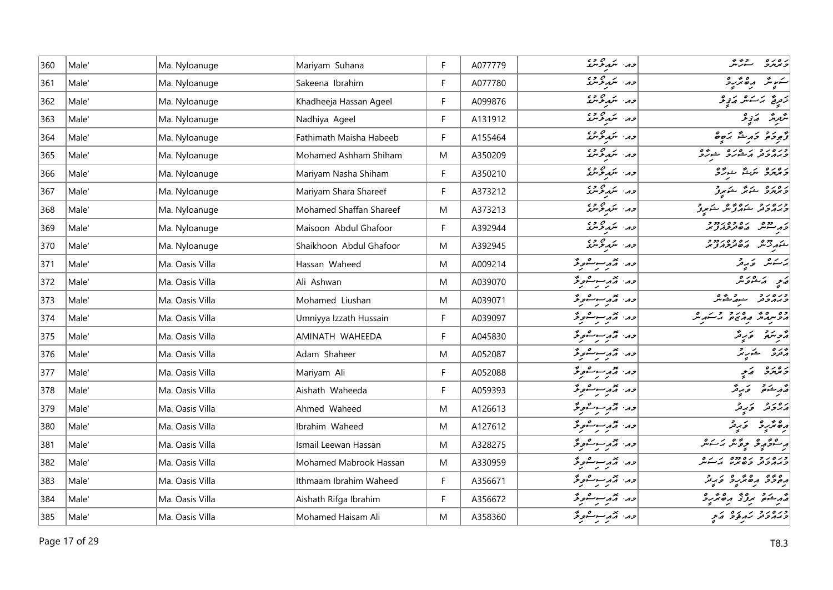| 360 | Male' | Ma. Nyloanuge   | Mariyam Suhana          | F  | A077779 | در سَمْدِ دْسْدُ                       | <u>ر جرم تر</u><br>ر ه ر ه<br>د بربر د |
|-----|-------|-----------------|-------------------------|----|---------|----------------------------------------|----------------------------------------|
| 361 | Male' | Ma. Nyloanuge   | Sakeena Ibrahim         | F. | A077780 | وړ شمه څشو                             | سَرِیدَ رەتمەرد                        |
| 362 | Male' | Ma. Nyloanuge   | Khadheeja Hassan Ageel  | F  | A099876 | وړ٠ سرگرمرۍ                            | ترىرى كاسكاش كالمي فى                  |
| 363 | Male' | Ma. Nyloanuge   | Nadhiya Ageel           | F  | A131912 | وە سىرگەمى                             | سَرْمِرةٌ = صَوِّحْر                   |
| 364 | Male' | Ma. Nyloanuge   | Fathimath Maisha Habeeb | F  | A155464 | وە سىرگە دى                            | ژُودۇ دۇش ئەھ                          |
| 365 | Male' | Ma. Nyloanuge   | Mohamed Ashham Shiham   | M  | A350209 | בו ייתבית                              | ورەر و رەرە ب                          |
| 366 | Male' | Ma. Nyloanuge   | Mariyam Nasha Shiham    | F  | A350210 | دە· سَمەنزىسى                          | ر وره کرد شورگر<br>تربربرتی کرد        |
| 367 | Male' | Ma. Nyloanuge   | Mariyam Shara Shareef   | F  | A373212 | وړ٠ سَرگوش                             | دەرە ئىگە ئىرو                         |
| 368 | Male' | Ma. Nyloanuge   | Mohamed Shaffan Shareef | M  | A373213 | دە. سَمەمْحىتى                         | ورەرو رەۋە شەرگە                       |
| 369 | Male' | Ma. Nyloanuge   | Maisoon Abdul Ghafoor   | F. | A392944 | وە سىرگەمى                             | ر دو ره دورود<br>در شش ماه دوروز د     |
| 370 | Male' | Ma. Nyloanuge   | Shaikhoon Abdul Ghafoor | M  | A392945 | در. سَمَرِ دُمِينَ                     | شهرجم ره ده ده د<br>شهرتر می مورد زیر  |
| 371 | Male' | Ma. Oasis Villa | Hassan Waheed           | M  | A009214 | حەربە ئەھرىسىز سىرە ئەھرىگە            | پر کے معرضہ حرید تر                    |
| 372 | Male' | Ma. Oasis Villa | Ali Ashwan              | M  | A039070 | در، جهر سوس <sup>9</sup> وځ            | أتمني أتمشوش                           |
| 373 | Male' | Ma. Oasis Villa | Mohamed Liushan         | M  | A039071 | حەر، ئەمرىسوسىسوقەتى                   | ورەرو بەرگەش                           |
| 374 | Male' | Ma. Oasis Villa | Umniyya Izzath Hussain  | F  | A039097 | حەر، ئەمەسىرىسى بەرگە<br>مەسىرىپ       | 20 000 0000 20000                      |
| 375 | Male' | Ma. Oasis Villa | AMINATH WAHEEDA         | F  | A045830 | دړ، میم برسور شورځه                    | أأزحر سكرة وألمح وأبادتكر              |
| 376 | Male' | Ma. Oasis Villa | Adam Shaheer            | M  | A052087 | حەر، ئەمەر سوسكىمۇ ئى                  | پر پر <u>ه</u><br>ىشكەر بىر            |
| 377 | Male' | Ma. Oasis Villa | Mariyam Ali             | F  | A052088 | حەر، ئېمەسىرسىسى ئىستىمە ئىستە         | ئەنگەر ئ<br>رځمنې                      |
| 378 | Male' | Ma. Oasis Villa | Aishath Waheeda         | F  | A059393 | دە، ئېم بىر شورتى                      | أقهر مشكرة والمحامر فكر                |
| 379 | Male' | Ma. Oasis Villa | Ahmed Waheed            | M  | A126613 | حەربە ئەسىر سىموغ                      | دەر د پر د                             |
| 380 | Male' | Ma. Oasis Villa | Ibrahim Waheed          | M  | A127612 | ور. می <sub>م</sub> رسور شور           | رە ئرىر ئىبىر                          |
| 381 | Male' | Ma. Oasis Villa | Ismail Leewan Hassan    | M  | A328275 | حەر، ئەمرىسوسىسوقەتى                   | ر جۇمپۇ بېرىش برخىش                    |
| 382 | Male' | Ma. Oasis Villa | Mohamed Mabrook Hassan  | M  | A330959 | دە، ئېم بىر شورگە                      | כנה כנה כמים נגם.<br>בגהכת כסיניו גבות |
| 383 | Male' | Ma. Oasis Villa | Ithmaam Ibrahim Waheed  | F  | A356671 | حەربە ئەمەسىس ئوقرىگى<br>مەسىمەت ئەسىر | رەم ۋە رەمگرىۋە ئەيد                   |
| 384 | Male' | Ma. Oasis Villa | Aishath Rifga Ibrahim   | F. | A356672 | دە. ئېم بىر شورگە                      | مەر شىم بروق برە ئرىرو                 |
| 385 | Male' | Ma. Oasis Villa | Mohamed Haisam Ali      | M  | A358360 | دە. ئېم بىر شورگە                      | ورەر د رېږو كړم                        |
|     |       |                 |                         |    |         |                                        |                                        |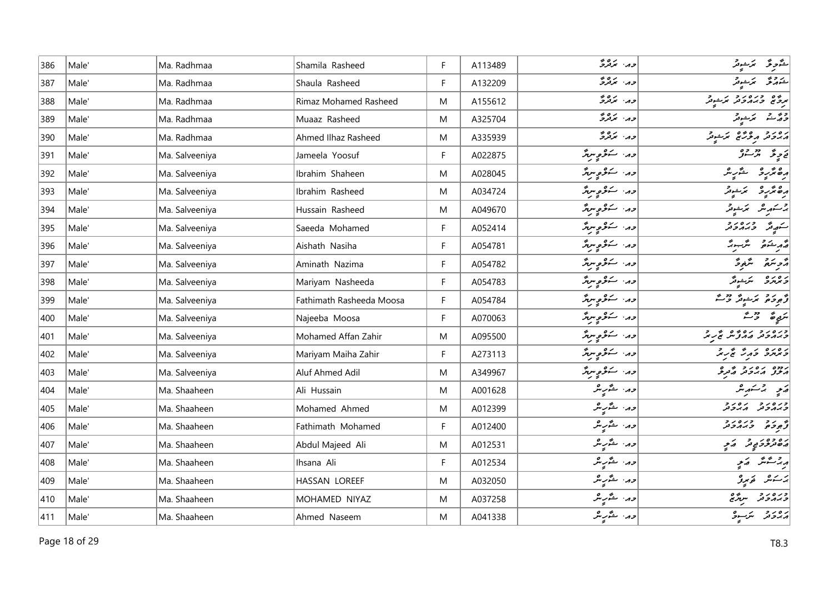| 386 | Male' | Ma. Radhmaa    | Shamila Rasheed          | F  | A113489 | وړ برور                      | ستگار می انگریز کرد.<br>مسیر کردید کرد کرد کرد.<br>مسیر کرد کرد کرد کرد کرد.                                                                                                                           |
|-----|-------|----------------|--------------------------|----|---------|------------------------------|--------------------------------------------------------------------------------------------------------------------------------------------------------------------------------------------------------|
| 387 | Male' | Ma. Radhmaa    | Shaula Rasheed           | F. | A132209 | وړ برور                      | $\begin{array}{cc} \mathcal{Z}_{\mathcal{A}} & \mathcal{Z}_{\mathcal{A}} & \mathcal{Z}_{\mathcal{A}} \\ \mathcal{Z}_{\mathcal{A}} & \mathcal{Z}_{\mathcal{A}} & \mathcal{Z}_{\mathcal{A}} \end{array}$ |
| 388 | Male' | Ma. Radhmaa    | Rimaz Mohamed Rasheed    | M  | A155612 | وړ بروژ                      |                                                                                                                                                                                                        |
| 389 | Male' | Ma. Radhmaa    | Muaaz Rasheed            | M  | A325704 | وړ بروژ                      | $\frac{2}{x^{2}+2x^{2}}$ $\frac{2}{x^{2}+2x^{2}}$                                                                                                                                                      |
| 390 | Male' | Ma. Radhmaa    | Ahmed Ilhaz Rasheed      | M  | A335939 | وړ٠ برګړ                     | ره د و مورد د کرد.<br>در دور د ورد کار کرد و                                                                                                                                                           |
| 391 | Male' | Ma. Salveeniya | Jameela Yoosuf           | F  | A022875 | حەر. سەئىھ مەرى <i>گە</i>    | $\begin{bmatrix} 0 & 2 & 2 \\ 2 & -2 & 2 \\ 3 & -2 & 2 \end{bmatrix}$                                                                                                                                  |
| 392 | Male' | Ma. Salveeniya | Ibrahim Shaheen          | M  | A028045 | دە. سەۋە بىرەگە              | دەتمەر ئىمرىش<br>دەتمەر ئىمرىسى<br>دەتمەر تىمرىسى<br>ئىمرىش تىمرى                                                                                                                                      |
| 393 | Male' | Ma. Salveeniya | Ibrahim Rasheed          | M  | A034724 | دە. سەۋە بىرەگە              |                                                                                                                                                                                                        |
| 394 | Male' | Ma. Salveeniya | Hussain Rasheed          | M  | A049670 | دە. سەۋەپ سەڭر               |                                                                                                                                                                                                        |
| 395 | Male' | Ma. Salveeniya | Saeeda Mohamed           | F  | A052414 | دە. سەۋەپىرىد                | شهره وره د و                                                                                                                                                                                           |
| 396 | Male' | Ma. Salveeniya | Aishath Nasiha           | F  | A054781 | دە. سەۋە بىرەڭ               | لأرشكم الكرسور                                                                                                                                                                                         |
| 397 | Male' | Ma. Salveeniya | Aminath Nazima           | F  | A054782 | در. سکوه سرگر                | أأدمتم المتمود                                                                                                                                                                                         |
| 398 | Male' | Ma. Salveeniya | Mariyam Nasheeda         | F  | A054783 | دە. سەۋە بىرەگە              | و مره سر سر شو مگر                                                                                                                                                                                     |
| 399 | Male' | Ma. Salveeniya | Fathimath Rasheeda Moosa | F  | A054784 | حەر. سەۋ <sub>ە ئ</sub> ىرىد | أزًودة الرسور وحمد                                                                                                                                                                                     |
| 400 | Male' | Ma. Salveeniya | Najeeba Moosa            | F  | A070063 | حەر، سەۋە بىرەگە             | سَرِمٍ صَدَّمَتِ صَدَّمَتِ                                                                                                                                                                             |
| 401 | Male' | Ma. Salveeniya | Mohamed Affan Zahir      | M  | A095500 | دە. سەۋەپ مەنگە              | ورەر د رەۋە ئەرگە                                                                                                                                                                                      |
| 402 | Male' | Ma. Salveeniya | Mariyam Maiha Zahir      | F  | A273113 | دە. سەۋەپ مەنگە              | د مرمرد و در شمار محر بر                                                                                                                                                                               |
| 403 | Male' | Ma. Salveeniya | Aluf Ahmed Adil          | M  | A349967 | در سکوه مرتز                 | גדרם גם גד ביתיב                                                                                                                                                                                       |
| 404 | Male' | Ma. Shaaheen   | Ali Hussain              | M  | A001628 | دە. ھۇرىگر                   | أەسم بر سىمبرىتىر                                                                                                                                                                                      |
| 405 | Male' | Ma. Shaaheen   | Mohamed Ahmed            | M  | A012399 | ور. ڪ <sub>رچ</sub> ر        | כנסגב גםגב<br>כגתכת הגבת                                                                                                                                                                               |
| 406 | Male' | Ma. Shaaheen   | Fathimath Mohamed        | F  | A012400 | وړ. ځې پر                    | أوجوحه وبرورو                                                                                                                                                                                          |
| 407 | Male' | Ma. Shaaheen   | Abdul Majeed Ali         | M  | A012531 | حەر. ئىش <i>گە</i> ر ش       | ړه ده د کړې                                                                                                                                                                                            |
| 408 | Male' | Ma. Shaaheen   | Ihsana Ali               | F  | A012534 | در. ځې پر                    | ورژ شتر اور                                                                                                                                                                                            |
| 409 | Male' | Ma. Shaaheen   | HASSAN LOREEF            | M  | A032050 | دړ. ځې پر                    | ىز سەش ئۇمرىر                                                                                                                                                                                          |
| 410 | Male' | Ma. Shaaheen   | MOHAMED NIYAZ            | M  | A037258 | در شمو شر                    | وبروبر سرگرم                                                                                                                                                                                           |
| 411 | Male' | Ma. Shaaheen   | Ahmed Naseem             | M  | A041338 | دە. ئىگەرىگە                 | پروتر کرگے و                                                                                                                                                                                           |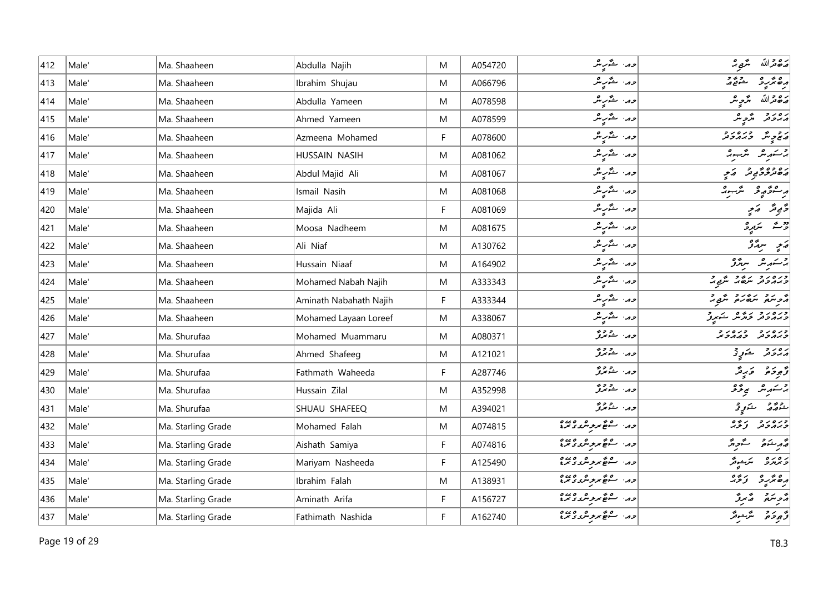| 412 | Male' | Ma. Shaaheen       | Abdulla Najih          | M | A054720 | در. ځېږمبر                                    | <b>بر25ر</b> الله<br>سگھ پڑ                                                                                              |
|-----|-------|--------------------|------------------------|---|---------|-----------------------------------------------|--------------------------------------------------------------------------------------------------------------------------|
| 413 | Male' | Ma. Shaaheen       | Ibrahim Shujau         | M | A066796 | حەر. ئىش <sup>ى</sup> ر بىر                   | رح پو ج<br>مشتوی ه<br>ەر ھەترىر <i>ۋ</i>                                                                                 |
| 414 | Male' | Ma. Shaaheen       | Abdulla Yameen         | M | A078598 | حەر. ئىش <i>گە</i> ر بىر                      | ەھىراللە<br>ېژ <sub>چ</sub> بر                                                                                           |
| 415 | Male' | Ma. Shaaheen       | Ahmed Yameen           | M | A078599 | حەر. ئىش <i>گە</i> ر بىر                      | بر ٥ پر ۳<br>د بر <del>د</del> تر<br>ەگەچە بىر                                                                           |
| 416 | Male' | Ma. Shaaheen       | Azmeena Mohamed        | F | A078600 | حەر. ئىقى <i>ر</i> ىش                         | و ر ه ر د<br>تر پر ژ تر<br>ړ ج <sub>حر</sub> متر                                                                         |
| 417 | Male' | Ma. Shaaheen       | HUSSAIN NASIH          | M | A081062 | حەر. ئىش <sup>ى</sup> رىش                     | برسكريش المرسور                                                                                                          |
| 418 | Male' | Ma. Shaaheen       | Abdul Majid Ali        | M | A081067 | حەر. ئىش <i>گە</i> ر بىر                      | ره ده د در در<br>اړه درود ور                                                                                             |
| 419 | Male' | Ma. Shaaheen       | Ismail Nasih           | M | A081068 | حەر. ئىش <i>گە</i> ر بىر                      | ر جۇرچە ئىلىر                                                                                                            |
| 420 | Male' | Ma. Shaaheen       | Majida Ali             | F | A081069 | حەربە ھەر بىر                                 | وًّمح مَّر<br>مستحق<br>ەنىيە                                                                                             |
| 421 | Male' | Ma. Shaaheen       | Moosa Nadheem          | M | A081675 | حەر. ئىش <i>گە</i> ر بىر                      | ر مستقرر من المعداد المعداد السياسي.<br>المراجع المستقرر المعداد المعداد المعداد المعداد المعداد المعداد المعداد المعداد |
| 422 | Male' | Ma. Shaaheen       | Ali Niaf               | M | A130762 | ر<br>حەربە ھەر مىش                            | ړې سرگړ                                                                                                                  |
| 423 | Male' | Ma. Shaaheen       | Hussain Niaaf          | M | A164902 | حەر. ئىشىر بىر                                |                                                                                                                          |
| 424 | Male' | Ma. Shaaheen       | Mohamed Nabah Najih    | M | A333343 | حەر. ئىش <sup>ى</sup> رىش                     | ور ٥ رو د دي د شي تر<br>وبرود تر شي تري                                                                                  |
| 425 | Male' | Ma. Shaaheen       | Aminath Nabahath Najih | F | A333344 | حەر. ئىش <i>گە</i> ر بىر                      | أأدبته بتقارة اللهار                                                                                                     |
| 426 | Male' | Ma. Shaaheen       | Mohamed Layaan Loreef  | M | A338067 | حەر. مەھمەت<br>مە                             | ورەرو روژگر ئىپرۇ                                                                                                        |
| 427 | Male' | Ma. Shurufaa       | Mohamed Muammaru       | M | A080371 | وړ څخه نو                                     | כנסנכ כנסנכ<br><i>בג</i> תכ <mark>נ</mark> כמתכת                                                                         |
| 428 | Male' | Ma. Shurufaa       | Ahmed Shafeeq          | M | A121021 | وە، خەيزى                                     | د ۱۵ د ۲ د مخکي تخ                                                                                                       |
| 429 | Male' | Ma. Shurufaa       | Fathmath Waheeda       | F | A287746 | وە شەرىخ                                      | وٌموحَمٌ وَرِمَّرٌ                                                                                                       |
| 430 | Male' | Ma. Shurufaa       | Hussain Zilal          | M | A352998 | وە شەرىخ                                      | جسكريثر بإيحو                                                                                                            |
| 431 | Male' | Ma. Shurufaa       | SHUAU SHAFEEQ          | M | A394021 | وە شەرىخ                                      | لشرور شرور                                                                                                               |
| 432 | Male' | Ma. Starling Grade | Mohamed Falah          | M | A074815 | وړ. گوڅ <sub>مرمر</sub> ش وي و                | ورەر د روە<br><i>دىد</i> ردىر <mark>ز</mark> ىر                                                                          |
| 433 | Male' | Ma. Starling Grade | Aishath Samiya         | F | A074816 | وړ٠ گوڅ <sub>مرم م</sub> ر <sub>و وغړ</sub> و | أقرم شوقه الشعرور                                                                                                        |
| 434 | Male' | Ma. Starling Grade | Mariyam Nasheeda       | F | A125490 | وړ٠ گوځ پر پر شری د بره                       | رەرە سەيدىگر                                                                                                             |
| 435 | Male' | Ma. Starling Grade | Ibrahim Falah          | M | A138931 | وړ. گوڅه پر پرېده کړه                         | ترتزل<br>ەرھەترىر <sup>ى</sup>                                                                                           |
| 436 | Male' | Ma. Starling Grade | Aminath Arifa          | F | A156727 | وړ. گوڅ پر پر شری د بره                       | أرمز بنرو<br>ەئىمىرىق                                                                                                    |
| 437 | Male' | Ma. Starling Grade | Fathimath Nashida      | F | A162740 | وړ٠ کوځ بربر شری تر بر د                      | تزجوخا مترجوند                                                                                                           |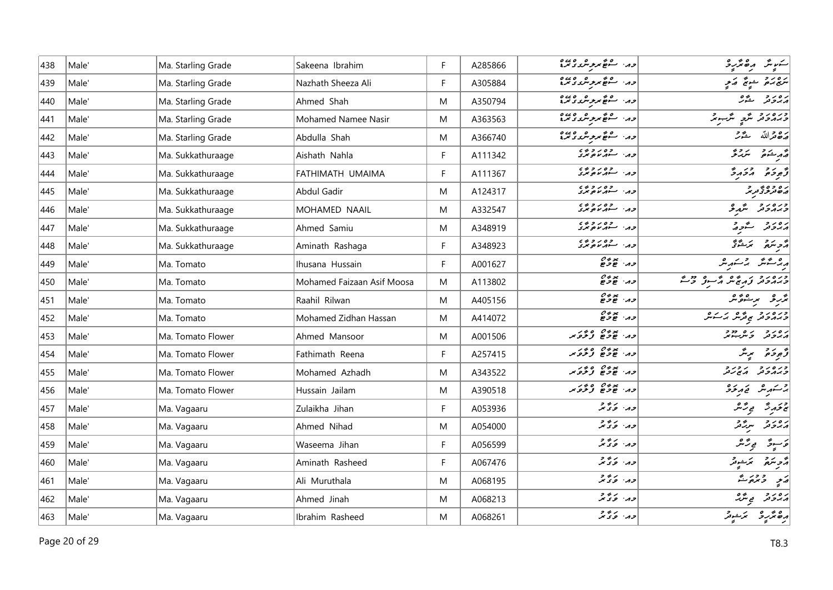| 438 | Male' | Ma. Starling Grade | Sakeena Ibrahim            | F         | A285866 | وړ٠ گوڅ پر پر شری د بره                                                                                                                                                                                                                                                                                                                                                                                                                                                                                                                                                                                                                                  | سَرِیدَ رِهْنَدِ دِ                |
|-----|-------|--------------------|----------------------------|-----------|---------|----------------------------------------------------------------------------------------------------------------------------------------------------------------------------------------------------------------------------------------------------------------------------------------------------------------------------------------------------------------------------------------------------------------------------------------------------------------------------------------------------------------------------------------------------------------------------------------------------------------------------------------------------------|------------------------------------|
| 439 | Male' | Ma. Starling Grade | Nazhath Sheeza Ali         | F         | A305884 | وړ٠ گوڅ پروتر <sub>ک ک</sub> ره<br>در٠ گوڅ پروتر <sub>ک</sub> کره                                                                                                                                                                                                                                                                                                                                                                                                                                                                                                                                                                                        | يره برج حيثي وكبر                  |
| 440 | Male' | Ma. Starling Grade | Ahmed Shah                 | M         | A350794 | وړ٠ گوڅ <sub>مرمو</sub> شۍ د مره                                                                                                                                                                                                                                                                                                                                                                                                                                                                                                                                                                                                                         | پره پر پر په په ک                  |
| 441 | Male' | Ma. Starling Grade | Mohamed Namee Nasir        | M         | A363563 | وړ٠ گوڅ پرپوسۍ د بره                                                                                                                                                                                                                                                                                                                                                                                                                                                                                                                                                                                                                                     | ورورو شي شهر                       |
| 442 | Male' | Ma. Starling Grade | Abdulla Shah               | M         | A366740 | وړ. گوڅ پر پرېږي د مړه                                                                                                                                                                                                                                                                                                                                                                                                                                                                                                                                                                                                                                   | مَدْهُ مَرْاللّه شَرْرٌ            |
| 443 | Male' | Ma. Sukkathuraage  | Aishath Nahla              | F         | A111342 |                                                                                                                                                                                                                                                                                                                                                                                                                                                                                                                                                                                                                                                          | مەرشۇم سىرقى                       |
| 444 | Male' | Ma. Sukkathuraage  | FATHIMATH UMAIMA           | F         | A111367 | $\begin{array}{cc} 0 & 0 & 0 & 0 \\ 0 & 0 & 0 & 0 \\ 0 & 0 & 0 & 0 \end{array}$                                                                                                                                                                                                                                                                                                                                                                                                                                                                                                                                                                          | أزجوخه مزمرة                       |
| 445 | Male' | Ma. Sukkathuraage  | Abdul Gadir                | ${\sf M}$ | A124317 | $\begin{array}{cc} 0 & 0 & 0 & 0 \\ 0 & 0 & 0 & 0 \\ 0 & 0 & 0 & 0 \end{array}$                                                                                                                                                                                                                                                                                                                                                                                                                                                                                                                                                                          | ر ٥ ٥ ٥ ٥ مر<br>  پر ۵ تر تر تر بر |
| 446 | Male' | Ma. Sukkathuraage  | MOHAMED NAAIL              | ${\sf M}$ | A332547 | $\begin{array}{cc} \mathcal{L} \mathcal{L} & \mathcal{L} & \mathcal{L} & \mathcal{L} & \mathcal{L} & \mathcal{L} & \mathcal{L} & \mathcal{L} & \mathcal{L} & \mathcal{L} & \mathcal{L} & \mathcal{L} & \mathcal{L} & \mathcal{L} & \mathcal{L} & \mathcal{L} & \mathcal{L} & \mathcal{L} & \mathcal{L} & \mathcal{L} & \mathcal{L} & \mathcal{L} & \mathcal{L} & \mathcal{L} & \mathcal{L} & \mathcal{L} & \mathcal{L} & \mathcal{L} & \mathcal{L} & \mathcal{$                                                                                                                                                                                          | ورەر د شمرو                        |
| 447 | Male' | Ma. Sukkathuraage  | Ahmed Samiu                | M         | A348919 | $\begin{array}{l} c \rightarrow 2 \rightarrow 0 \\ S \rightarrow \infty \end{array} \quad \begin{array}{l} c \rightarrow 0 \\ \rightarrow \infty \end{array} \quad \begin{array}{l} c \rightarrow 0 \\ \rightarrow 0 \end{array} \quad \begin{array}{l} c \rightarrow 0 \\ \rightarrow 0 \end{array} \quad \begin{array}{l} c \rightarrow 0 \\ \rightarrow 0 \end{array} \quad \begin{array}{l} c \rightarrow 0 \\ \rightarrow 0 \end{array} \quad \begin{array}{l} c \rightarrow 0 \\ \rightarrow 0 \end{array} \quad \begin{array}{l} c \rightarrow 0 \\ \rightarrow 0 \end{array} \quad \begin{array}{l} c \rightarrow 0 \\ \rightarrow 0 \end{array$ | رەر دىر                            |
| 448 | Male' | Ma. Sukkathuraage  | Aminath Rashaga            | F         | A348923 | $\begin{array}{cc} \mathcal{L} \otimes \mathcal{L} \otimes \mathcal{L} \times \mathcal{L} \times \mathcal{L} \times \mathcal{L} \times \mathcal{L} \times \mathcal{L} \times \mathcal{L} \times \mathcal{L} \times \mathcal{L} \times \mathcal{L} \times \mathcal{L} \times \mathcal{L} \times \mathcal{L} \times \mathcal{L} \times \mathcal{L} \times \mathcal{L} \times \mathcal{L} \times \mathcal{L} \times \mathcal{L} \times \mathcal{L} \times \mathcal{L} \times \mathcal{L} \times \mathcal{L} \times \mathcal{L} \times \mathcal$                                                                                                             | مُحرِسَمُ مَرَشَوَّ                |
| 449 | Male' | Ma. Tomato         | Ihusana Hussain            | F         | A001627 | $e^{i}$                                                                                                                                                                                                                                                                                                                                                                                                                                                                                                                                                                                                                                                  | ارىر شەش بر سىرىس                  |
| 450 | Male' | Ma. Tomato         | Mohamed Faizaan Asif Moosa | M         | A113802 | בו שלם                                                                                                                                                                                                                                                                                                                                                                                                                                                                                                                                                                                                                                                   | כנסגב צגשית הצייר ביי              |
| 451 | Male' | Ma. Tomato         | Raahil Rilwan              | M         | A405156 | גור שלים<br>הגיי שלים                                                                                                                                                                                                                                                                                                                                                                                                                                                                                                                                                                                                                                    | تررو برخوش                         |
| 452 | Male' | Ma. Tomato         | Mohamed Zidhan Hassan      | M         | A414072 | בגי שְּבִי                                                                                                                                                                                                                                                                                                                                                                                                                                                                                                                                                                                                                                               | ورەر دېگرىگە ئەسەك                 |
| 453 | Male' | Ma. Tomato Flower  | Ahmed Mansoor              | ${\sf M}$ | A001506 | ر پر دہ ور در<br>در ہوتے زخونہ                                                                                                                                                                                                                                                                                                                                                                                                                                                                                                                                                                                                                           | גם גם מם חבר.<br>  הגבת בית-היב    |
| 454 | Male' | Ma. Tomato Flower  | Fathimath Reena            | F         | A257415 | בגי שלש ניליג<br>כגי שלש ניליג                                                                                                                                                                                                                                                                                                                                                                                                                                                                                                                                                                                                                           | د پوځو په پر                       |
| 455 | Male' | Ma. Tomato Flower  | Mohamed Azhadh             | M         | A343522 | בגי שלש ניליג<br>כגי שלש ניליג                                                                                                                                                                                                                                                                                                                                                                                                                                                                                                                                                                                                                           | כנסנכ נבנב                         |
| 456 | Male' | Ma. Tomato Flower  | Hussain Jailam             | M         | A390518 | ر پر دہ ور در<br>در ہوتے زخونہ                                                                                                                                                                                                                                                                                                                                                                                                                                                                                                                                                                                                                           | جرحتهاش فيهادفك                    |
| 457 | Male' | Ma. Vagaaru        | Zulaikha Jihan             | F         | A053936 | وړ کونو د                                                                                                                                                                                                                                                                                                                                                                                                                                                                                                                                                                                                                                                | ج تحمد شهر محمد شر                 |
| 458 | Male' | Ma. Vagaaru        | Ahmed Nihad                | ${\sf M}$ | A054000 | وړ کونو د                                                                                                                                                                                                                                                                                                                                                                                                                                                                                                                                                                                                                                                | رەر دىر بەر                        |
| 459 | Male' | Ma. Vagaaru        | Waseema Jihan              | F         | A056599 | وړ کونو د                                                                                                                                                                                                                                                                                                                                                                                                                                                                                                                                                                                                                                                | وَ سوتَر پر شر                     |
| 460 | Male' | Ma. Vagaaru        | Aminath Rasheed            | F         | A067476 | وړ کونو د                                                                                                                                                                                                                                                                                                                                                                                                                                                                                                                                                                                                                                                | أأترج متكوم التراسية               |
| 461 | Male' | Ma. Vagaaru        | Ali Muruthala              | M         | A068195 | وړ کونو د                                                                                                                                                                                                                                                                                                                                                                                                                                                                                                                                                                                                                                                | أەي دىرەت                          |
| 462 | Male' | Ma. Vagaaru        | Ahmed Jinah                | M         | A068213 | ג זיי די<br>17 שידות                                                                                                                                                                                                                                                                                                                                                                                                                                                                                                                                                                                                                                     | د ۱۵ د ح پر محمد                   |
| 463 | Male' | Ma. Vagaaru        | Ibrahim Rasheed            | ${\sf M}$ | A068261 | وړ کونو د                                                                                                                                                                                                                                                                                                                                                                                                                                                                                                                                                                                                                                                | رەڭرىر ئىشىتى                      |
|     |       |                    |                            |           |         |                                                                                                                                                                                                                                                                                                                                                                                                                                                                                                                                                                                                                                                          |                                    |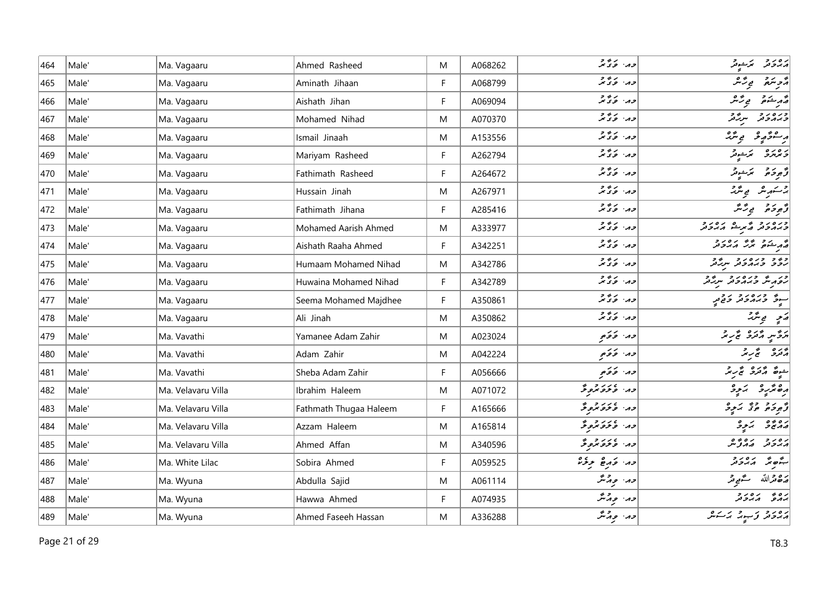| 464 | Male' | Ma. Vagaaru        | Ahmed Rasheed          | M           | A068262 | כון - פיציב                  | رەر<br>مەركى كەشىر                                                    |
|-----|-------|--------------------|------------------------|-------------|---------|------------------------------|-----------------------------------------------------------------------|
| 465 | Male' | Ma. Vagaaru        | Aminath Jihaan         | $\mathsf F$ | A068799 | נה יכביל<br>כ <i>ה פ</i> ציל | أزويته ويحتر                                                          |
| 466 | Male' | Ma. Vagaaru        | Aishath Jihan          | F           | A069094 | وړ کونو د                    | أقهر يئتمون ويرمش                                                     |
| 467 | Male' | Ma. Vagaaru        | Mohamed Nihad          | M           | A070370 | ود ودي                       | وره رو در بود                                                         |
| 468 | Male' | Ma. Vagaaru        | Ismail Jinaah          | M           | A153556 | נו נייני<br>כוי פציג         | وراءة ويؤدا ويترك                                                     |
| 469 | Male' | Ma. Vagaaru        | Mariyam Rasheed        | $\mathsf F$ | A262794 | وړ کونو د                    | رەرە كەشپەر                                                           |
| 470 | Male' | Ma. Vagaaru        | Fathimath Rasheed      | F           | A264672 | وړ کونو د                    | تزجوخا محمشوش                                                         |
| 471 | Male' | Ma. Vagaaru        | Hussain Jinah          | M           | A267971 | وړ کونو د                    | برسكريش ويتركز                                                        |
| 472 | Male' | Ma. Vagaaru        | Fathimath Jihana       | F           | A285416 | נה יכביל<br>כ <i>ה פ</i> ציל | وَجوحَهِ وِرَمَّدَ                                                    |
| 473 | Male' | Ma. Vagaaru        | Mohamed Aarish Ahmed   | M           | A333977 | י ז"ד בי                     | وره رو و محرث مده در حا                                               |
| 474 | Male' | Ma. Vagaaru        | Aishath Raaha Ahmed    | F.          | A342251 | כון - פיציב                  |                                                                       |
| 475 | Male' | Ma. Vagaaru        | Humaam Mohamed Nihad   | M           | A342786 | وړ کو دی تر                  | وو ورەرو سرگو                                                         |
| 476 | Male' | Ma. Vagaaru        | Huwaina Mohamed Nihad  | F           | A342789 | ود ودي                       | وی شهر و بره در و سرگرفر<br>ریح پر بر و بر پروتر                      |
| 477 | Male' | Ma. Vagaaru        | Seema Mohamed Majdhee  | F           | A350861 |                              | د در در در دور<br>در در در دور                                        |
| 478 | Male' | Ma. Vagaaru        | Ali Jinah              | M           | A350862 | وړ کونو د                    | وكو مي شركة<br>وكو مي شركة<br>وكو سر وكوري مي كريمة                   |
| 479 | Male' | Ma. Vavathi        | Yamanee Adam Zahir     | M           | A023024 | در ، ءَءَمِ                  |                                                                       |
| 480 | Male' | Ma. Vavathi        | Adam Zahir             | M           | A042224 | دە. ئەئەپە                   |                                                                       |
| 481 | Male' | Ma. Vavathi        | Sheba Adam Zahir       | F           | A056666 | دە. ئەئەپە                   | $\frac{2}{3}$ $\frac{6}{3}$ $\frac{6}{3}$ $\frac{6}{3}$ $\frac{6}{3}$ |
| 482 | Male' | Ma. Velavaru Villa | Ibrahim Haleem         | M           | A071072 | در و در در د                 | رەپرىر ئېچى                                                           |
| 483 | Male' | Ma. Velavaru Villa | Fathmath Thugaa Haleem | F           | A165666 | وړ٤ و څوندو څ                | و دو ده نود                                                           |
| 484 | Male' | Ma. Velavaru Villa | Azzam Haleem           | M           | A165814 | وړ٠ ورو پرو د                | رەپە رو                                                               |
| 485 | Male' | Ma. Velavaru Villa | Ahmed Affan            | M           | A340596 | وړ٠ وتوونروتر                | גפניק גפשים                                                           |
| 486 | Male' | Ma. White Lilac    | Sobira Ahmed           | F           | A059525 | در. ءَرِڠ دِدْءُ             | بتوريخ مددور                                                          |
| 487 | Male' | Ma. Wyuna          | Abdulla Sajid          | M           | A061114 | دە. بوممىگە                  | رەتراللە گەم <u>ى</u> تر                                              |
| 488 | Male' | Ma. Wyuna          | Hawwa Ahmed            | F           | A074935 | در وړش                       | رەپ رەرد                                                              |
| 489 | Male' | Ma. Wyuna          | Ahmed Faseeh Hassan    | M           | A336288 | ادر ورقمه                    | أرور وأربار أركاس                                                     |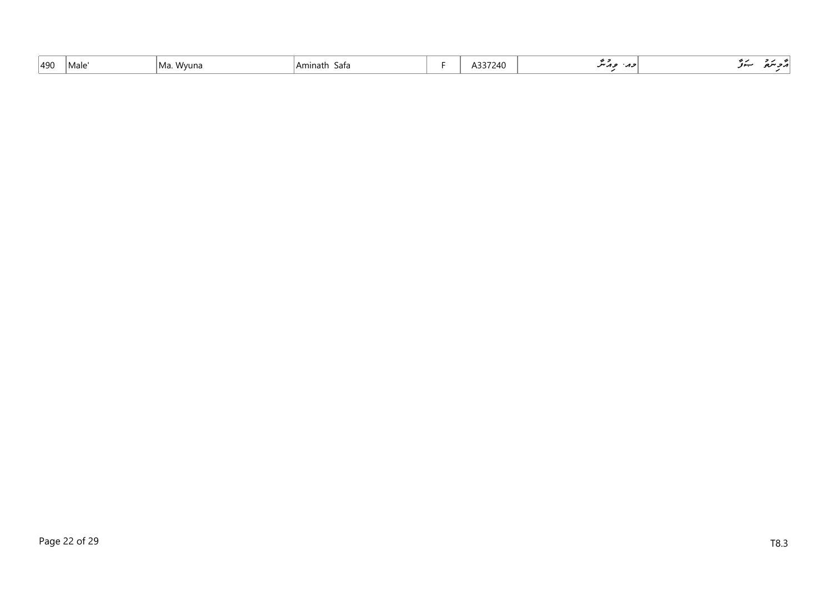| 490 | Male | lMa<br>Wyuna | <b>-+</b><br> Aminath <br><b>J</b> dic |  | '240 | 'حەر<br>. . | $\theta$<br>,, |
|-----|------|--------------|----------------------------------------|--|------|-------------|----------------|
|-----|------|--------------|----------------------------------------|--|------|-------------|----------------|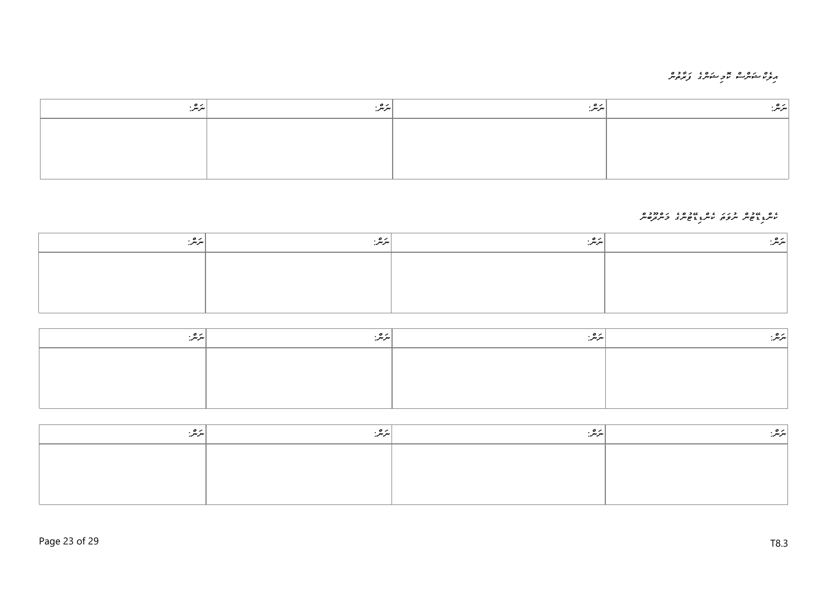## *w7qAn8m? sCw7mRo>u; wEw7mRw;sBo<*

| ' مرمر | 'يئرىثر: |
|--------|----------|
|        |          |
|        |          |
|        |          |

## *w7q9r@w7m> sCw7qHtFoFw7s; mAm=q7 w7qHtFoFw7s;*

| ىر تە | $\mathcal{O} \times$<br>$\sim$ | $\sim$<br>. . | لترنثر |
|-------|--------------------------------|---------------|--------|
|       |                                |               |        |
|       |                                |               |        |
|       |                                |               |        |

| انترنثر: | $^{\circ}$ | يبرهر | $^{\circ}$<br>سرسر |
|----------|------------|-------|--------------------|
|          |            |       |                    |
|          |            |       |                    |
|          |            |       |                    |

| ىرتىر: | 。<br>سر سر | .,<br>مرسر |
|--------|------------|------------|
|        |            |            |
|        |            |            |
|        |            |            |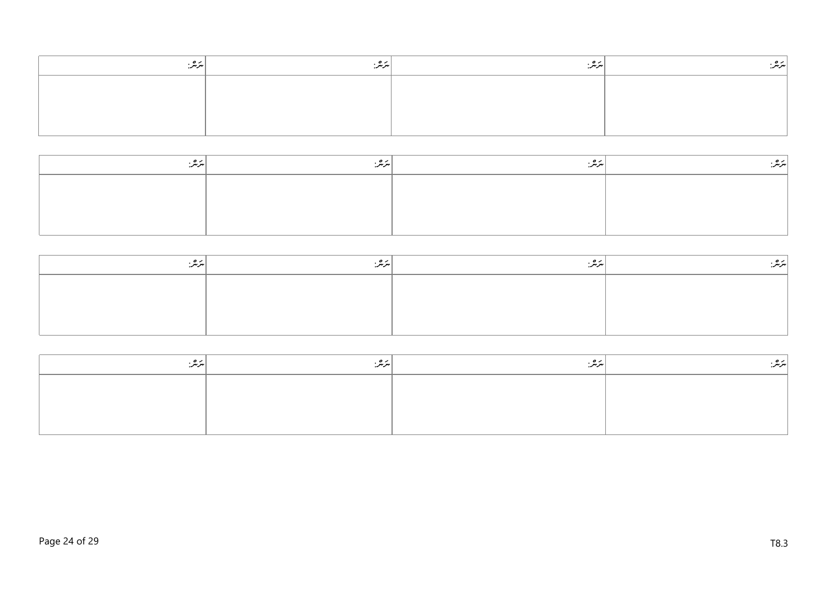| يزهر | $^{\circ}$ | ىئرىتر: |  |
|------|------------|---------|--|
|      |            |         |  |
|      |            |         |  |
|      |            |         |  |

| متريثر به | 。<br>َ سرسر ِ | يتزيترا | سرسر |
|-----------|---------------|---------|------|
|           |               |         |      |
|           |               |         |      |
|           |               |         |      |

| ىرتىر: | $\sim$ | ا بر هه. | لىرىش |
|--------|--------|----------|-------|
|        |        |          |       |
|        |        |          |       |
|        |        |          |       |

| 。<br>مرس. | $\overline{\phantom{a}}$<br>مر سر | يتريثر |
|-----------|-----------------------------------|--------|
|           |                                   |        |
|           |                                   |        |
|           |                                   |        |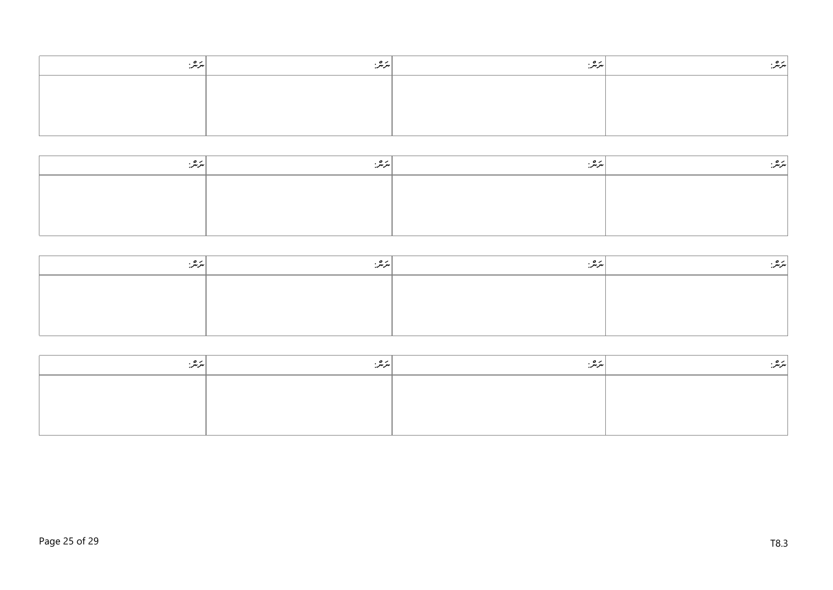| ير هو . | $\overline{\phantom{a}}$ | يرمر | اير هنه. |
|---------|--------------------------|------|----------|
|         |                          |      |          |
|         |                          |      |          |
|         |                          |      |          |

| ئىرتىر: | $\sim$<br>ا سرسر . | يئرمثر | o . |
|---------|--------------------|--------|-----|
|         |                    |        |     |
|         |                    |        |     |
|         |                    |        |     |

| 'تترنثر: | 。<br>,,,, |  |
|----------|-----------|--|
|          |           |  |
|          |           |  |
|          |           |  |

|  | . ه |
|--|-----|
|  |     |
|  |     |
|  |     |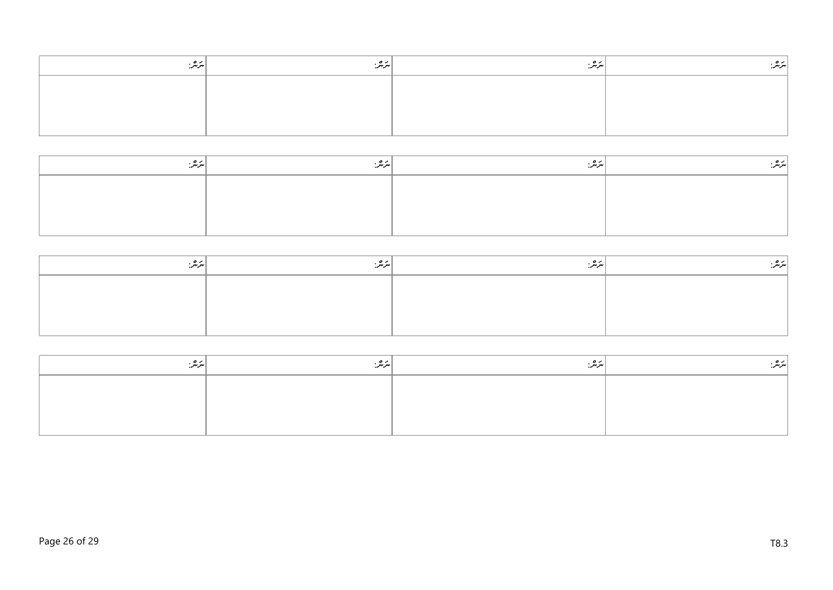| ير هو . | $\overline{\phantom{a}}$ | يرمر | اير هنه. |
|---------|--------------------------|------|----------|
|         |                          |      |          |
|         |                          |      |          |
|         |                          |      |          |

| ىر تىر: | $\circ$ $\sim$<br>" سرسر . | يبرحه | o . |
|---------|----------------------------|-------|-----|
|         |                            |       |     |
|         |                            |       |     |
|         |                            |       |     |

| 'تترنثر: | 。<br>,,,, |  |
|----------|-----------|--|
|          |           |  |
|          |           |  |
|          |           |  |

|  | . ه |
|--|-----|
|  |     |
|  |     |
|  |     |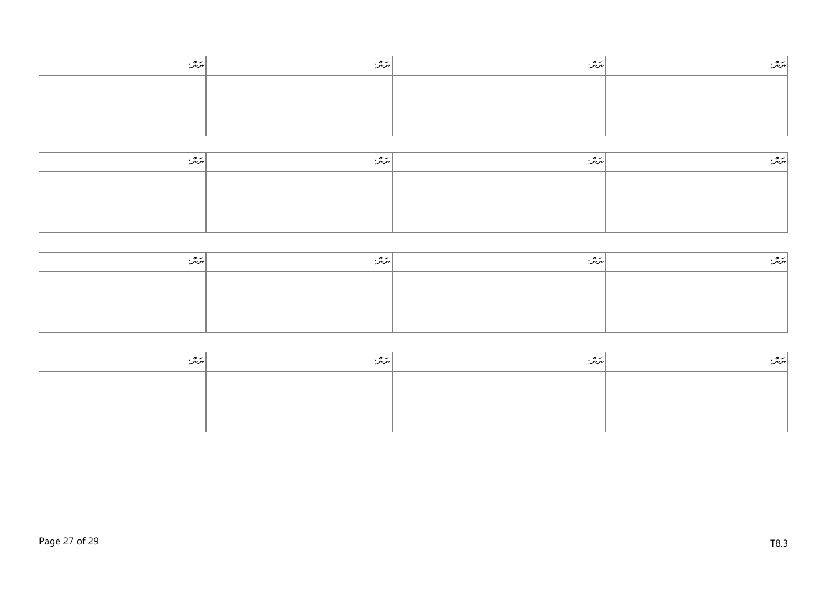| $\cdot$ | ο. | $\frac{\circ}{\cdot}$ | $\sim$<br>سرسر |
|---------|----|-----------------------|----------------|
|         |    |                       |                |
|         |    |                       |                |
|         |    |                       |                |

| يريثن | ' سرسر . |  |
|-------|----------|--|
|       |          |  |
|       |          |  |
|       |          |  |

| بر ه | 。 | $\sim$<br>َ سومس |  |
|------|---|------------------|--|
|      |   |                  |  |
|      |   |                  |  |
|      |   |                  |  |

| 。<br>. س | ىرىىر |  |
|----------|-------|--|
|          |       |  |
|          |       |  |
|          |       |  |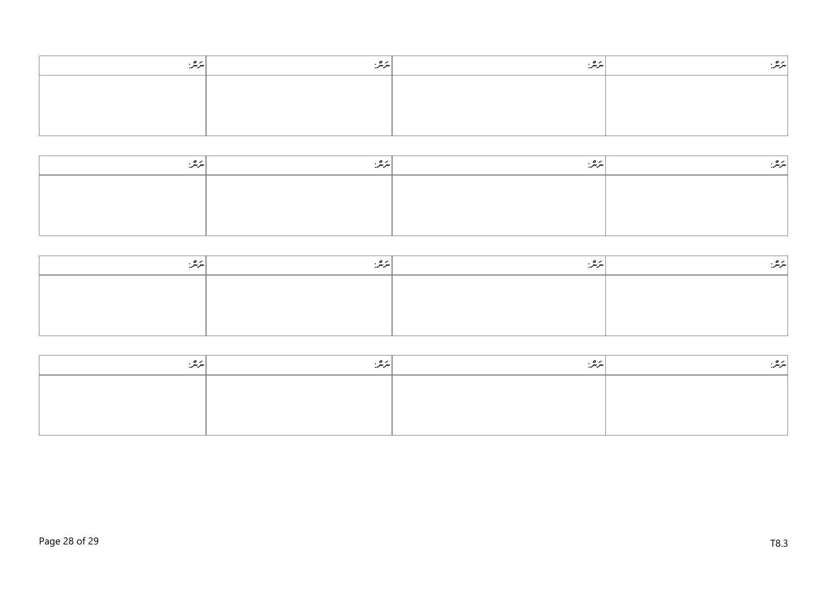| ير هو . | $\overline{\phantom{a}}$ | يرمر | لتزمثن |
|---------|--------------------------|------|--------|
|         |                          |      |        |
|         |                          |      |        |
|         |                          |      |        |

| ىر تىر: | $\circ$ $\sim$<br>" سرسر . | يبرحه | o . |
|---------|----------------------------|-------|-----|
|         |                            |       |     |
|         |                            |       |     |
|         |                            |       |     |

| 'تترنثر: | 。<br>,,,, |  |
|----------|-----------|--|
|          |           |  |
|          |           |  |
|          |           |  |

|  | . ه |
|--|-----|
|  |     |
|  |     |
|  |     |